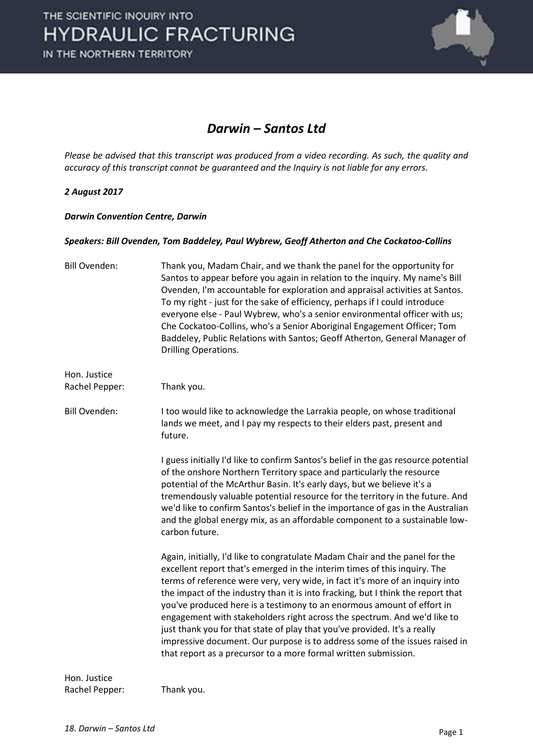

#### *Darwin – Santos Ltd*

*Please be advised that this transcript was produced from a video recording. As such, the quality and accuracy of this transcript cannot be guaranteed and the Inquiry is not liable for any errors.*

#### *2 August 2017*

*Darwin Convention Centre, Darwin* 

#### *Speakers: Bill Ovenden, Tom Baddeley, Paul Wybrew, Geoff Atherton and Che Cockatoo-Collins*

| <b>Bill Ovenden:</b>           | Thank you, Madam Chair, and we thank the panel for the opportunity for<br>Santos to appear before you again in relation to the inquiry. My name's Bill<br>Ovenden, I'm accountable for exploration and appraisal activities at Santos.<br>To my right - just for the sake of efficiency, perhaps if I could introduce<br>everyone else - Paul Wybrew, who's a senior environmental officer with us;<br>Che Cockatoo-Collins, who's a Senior Aboriginal Engagement Officer; Tom<br>Baddeley, Public Relations with Santos; Geoff Atherton, General Manager of<br>Drilling Operations.                                                                                                                                |
|--------------------------------|---------------------------------------------------------------------------------------------------------------------------------------------------------------------------------------------------------------------------------------------------------------------------------------------------------------------------------------------------------------------------------------------------------------------------------------------------------------------------------------------------------------------------------------------------------------------------------------------------------------------------------------------------------------------------------------------------------------------|
| Hon. Justice<br>Rachel Pepper: | Thank you.                                                                                                                                                                                                                                                                                                                                                                                                                                                                                                                                                                                                                                                                                                          |
| <b>Bill Ovenden:</b>           | I too would like to acknowledge the Larrakia people, on whose traditional<br>lands we meet, and I pay my respects to their elders past, present and<br>future.                                                                                                                                                                                                                                                                                                                                                                                                                                                                                                                                                      |
|                                | I guess initially I'd like to confirm Santos's belief in the gas resource potential<br>of the onshore Northern Territory space and particularly the resource<br>potential of the McArthur Basin. It's early days, but we believe it's a<br>tremendously valuable potential resource for the territory in the future. And<br>we'd like to confirm Santos's belief in the importance of gas in the Australian<br>and the global energy mix, as an affordable component to a sustainable low-<br>carbon future.                                                                                                                                                                                                        |
|                                | Again, initially, I'd like to congratulate Madam Chair and the panel for the<br>excellent report that's emerged in the interim times of this inquiry. The<br>terms of reference were very, very wide, in fact it's more of an inquiry into<br>the impact of the industry than it is into fracking, but I think the report that<br>you've produced here is a testimony to an enormous amount of effort in<br>engagement with stakeholders right across the spectrum. And we'd like to<br>just thank you for that state of play that you've provided. It's a really<br>impressive document. Our purpose is to address some of the issues raised in<br>that report as a precursor to a more formal written submission. |
| Hon. Justice                   |                                                                                                                                                                                                                                                                                                                                                                                                                                                                                                                                                                                                                                                                                                                     |

Rachel Pepper: Thank you.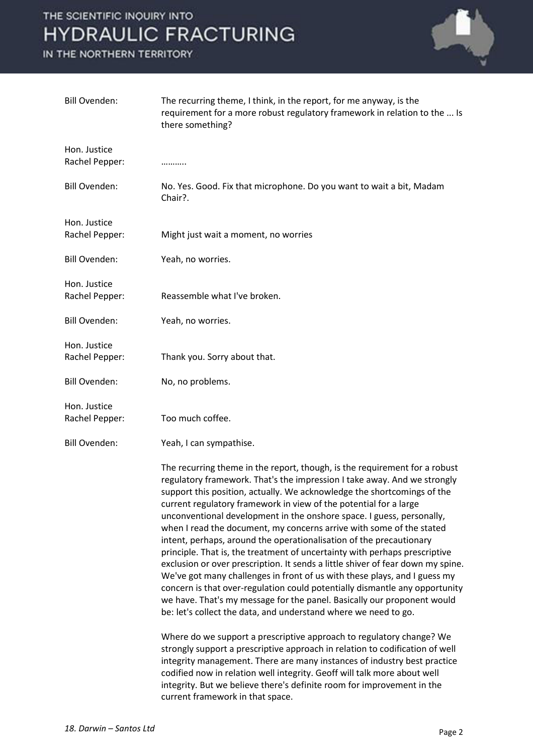

| <b>Bill Ovenden:</b>           | The recurring theme, I think, in the report, for me anyway, is the<br>requirement for a more robust regulatory framework in relation to the  Is<br>there something?                                                                                                                                                                                                                                                                                                                                                                                                                                                                                                                                                                                                                                                                                                                                                                                                                                       |
|--------------------------------|-----------------------------------------------------------------------------------------------------------------------------------------------------------------------------------------------------------------------------------------------------------------------------------------------------------------------------------------------------------------------------------------------------------------------------------------------------------------------------------------------------------------------------------------------------------------------------------------------------------------------------------------------------------------------------------------------------------------------------------------------------------------------------------------------------------------------------------------------------------------------------------------------------------------------------------------------------------------------------------------------------------|
| Hon. Justice                   |                                                                                                                                                                                                                                                                                                                                                                                                                                                                                                                                                                                                                                                                                                                                                                                                                                                                                                                                                                                                           |
| Rachel Pepper:                 | .                                                                                                                                                                                                                                                                                                                                                                                                                                                                                                                                                                                                                                                                                                                                                                                                                                                                                                                                                                                                         |
| <b>Bill Ovenden:</b>           | No. Yes. Good. Fix that microphone. Do you want to wait a bit, Madam<br>Chair?.                                                                                                                                                                                                                                                                                                                                                                                                                                                                                                                                                                                                                                                                                                                                                                                                                                                                                                                           |
| Hon. Justice<br>Rachel Pepper: | Might just wait a moment, no worries                                                                                                                                                                                                                                                                                                                                                                                                                                                                                                                                                                                                                                                                                                                                                                                                                                                                                                                                                                      |
| <b>Bill Ovenden:</b>           | Yeah, no worries.                                                                                                                                                                                                                                                                                                                                                                                                                                                                                                                                                                                                                                                                                                                                                                                                                                                                                                                                                                                         |
| Hon. Justice<br>Rachel Pepper: | Reassemble what I've broken.                                                                                                                                                                                                                                                                                                                                                                                                                                                                                                                                                                                                                                                                                                                                                                                                                                                                                                                                                                              |
| <b>Bill Ovenden:</b>           | Yeah, no worries.                                                                                                                                                                                                                                                                                                                                                                                                                                                                                                                                                                                                                                                                                                                                                                                                                                                                                                                                                                                         |
| Hon. Justice<br>Rachel Pepper: | Thank you. Sorry about that.                                                                                                                                                                                                                                                                                                                                                                                                                                                                                                                                                                                                                                                                                                                                                                                                                                                                                                                                                                              |
| <b>Bill Ovenden:</b>           | No, no problems.                                                                                                                                                                                                                                                                                                                                                                                                                                                                                                                                                                                                                                                                                                                                                                                                                                                                                                                                                                                          |
| Hon. Justice<br>Rachel Pepper: | Too much coffee.                                                                                                                                                                                                                                                                                                                                                                                                                                                                                                                                                                                                                                                                                                                                                                                                                                                                                                                                                                                          |
| <b>Bill Ovenden:</b>           | Yeah, I can sympathise.                                                                                                                                                                                                                                                                                                                                                                                                                                                                                                                                                                                                                                                                                                                                                                                                                                                                                                                                                                                   |
|                                | The recurring theme in the report, though, is the requirement for a robust<br>regulatory framework. That's the impression I take away. And we strongly<br>support this position, actually. We acknowledge the shortcomings of the<br>current regulatory framework in view of the potential for a large<br>unconventional development in the onshore space. I guess, personally,<br>when I read the document, my concerns arrive with some of the stated<br>intent, perhaps, around the operationalisation of the precautionary<br>principle. That is, the treatment of uncertainty with perhaps prescriptive<br>exclusion or over prescription. It sends a little shiver of fear down my spine.<br>We've got many challenges in front of us with these plays, and I guess my<br>concern is that over-regulation could potentially dismantle any opportunity<br>we have. That's my message for the panel. Basically our proponent would<br>be: let's collect the data, and understand where we need to go. |
|                                | Where do we support a prescriptive approach to regulatory change? We<br>strongly support a prescriptive approach in relation to codification of well<br>integrity management. There are many instances of industry best practice<br>codified now in relation well integrity. Geoff will talk more about well<br>integrity. But we believe there's definite room for improvement in the<br>current framework in that space.                                                                                                                                                                                                                                                                                                                                                                                                                                                                                                                                                                                |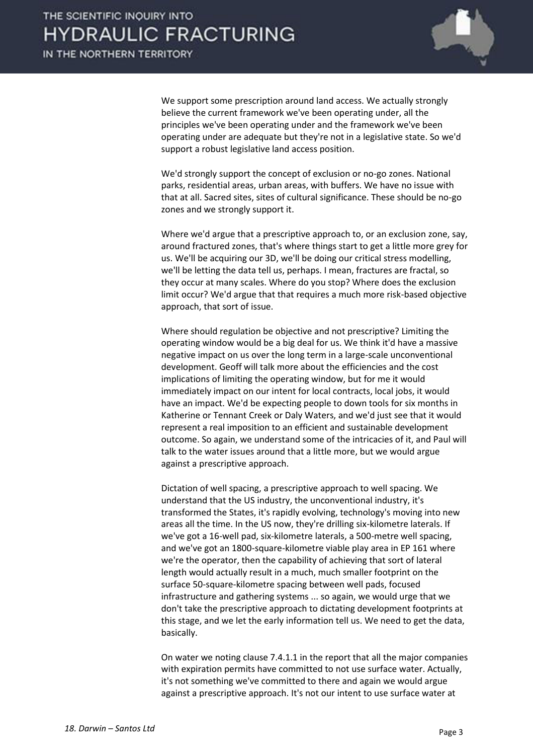

 We support some prescription around land access. We actually strongly believe the current framework we've been operating under, all the principles we've been operating under and the framework we've been operating under are adequate but they're not in a legislative state. So we'd support a robust legislative land access position.

 We'd strongly support the concept of exclusion or no-go zones. National parks, residential areas, urban areas, with buffers. We have no issue with that at all. Sacred sites, sites of cultural significance. These should be no-go zones and we strongly support it.

 Where we'd argue that a prescriptive approach to, or an exclusion zone, say, around fractured zones, that's where things start to get a little more grey for us. We'll be acquiring our 3D, we'll be doing our critical stress modelling, we'll be letting the data tell us, perhaps. I mean, fractures are fractal, so they occur at many scales. Where do you stop? Where does the exclusion limit occur? We'd argue that that requires a much more risk-based objective approach, that sort of issue.

 Where should regulation be objective and not prescriptive? Limiting the operating window would be a big deal for us. We think it'd have a massive negative impact on us over the long term in a large-scale unconventional development. Geoff will talk more about the efficiencies and the cost implications of limiting the operating window, but for me it would immediately impact on our intent for local contracts, local jobs, it would have an impact. We'd be expecting people to down tools for six months in Katherine or Tennant Creek or Daly Waters, and we'd just see that it would represent a real imposition to an efficient and sustainable development outcome. So again, we understand some of the intricacies of it, and Paul will talk to the water issues around that a little more, but we would argue against a prescriptive approach.

 Dictation of well spacing, a prescriptive approach to well spacing. We understand that the US industry, the unconventional industry, it's transformed the States, it's rapidly evolving, technology's moving into new areas all the time. In the US now, they're drilling six-kilometre laterals. If we've got a 16-well pad, six-kilometre laterals, a 500-metre well spacing, and we've got an 1800-square-kilometre viable play area in EP 161 where we're the operator, then the capability of achieving that sort of lateral length would actually result in a much, much smaller footprint on the surface 50-square-kilometre spacing between well pads, focused infrastructure and gathering systems ... so again, we would urge that we don't take the prescriptive approach to dictating development footprints at this stage, and we let the early information tell us. We need to get the data, basically.

 On water we noting clause 7.4.1.1 in the report that all the major companies with expiration permits have committed to not use surface water. Actually, it's not something we've committed to there and again we would argue against a prescriptive approach. It's not our intent to use surface water at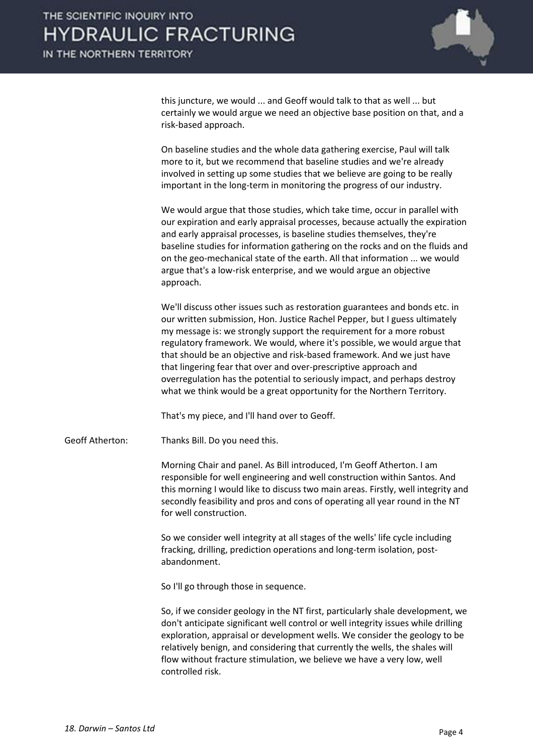

this juncture, we would ... and Geoff would talk to that as well ... but certainly we would argue we need an objective base position on that, and a risk-based approach.

 On baseline studies and the whole data gathering exercise, Paul will talk more to it, but we recommend that baseline studies and we're already involved in setting up some studies that we believe are going to be really important in the long-term in monitoring the progress of our industry.

 We would argue that those studies, which take time, occur in parallel with our expiration and early appraisal processes, because actually the expiration and early appraisal processes, is baseline studies themselves, they're baseline studies for information gathering on the rocks and on the fluids and on the geo-mechanical state of the earth. All that information ... we would argue that's a low-risk enterprise, and we would argue an objective approach.

 We'll discuss other issues such as restoration guarantees and bonds etc. in our written submission, Hon. Justice Rachel Pepper, but I guess ultimately my message is: we strongly support the requirement for a more robust regulatory framework. We would, where it's possible, we would argue that that should be an objective and risk-based framework. And we just have that lingering fear that over and over-prescriptive approach and overregulation has the potential to seriously impact, and perhaps destroy what we think would be a great opportunity for the Northern Territory.

That's my piece, and I'll hand over to Geoff.

Geoff Atherton: Thanks Bill. Do you need this.

 Morning Chair and panel. As Bill introduced, I'm Geoff Atherton. I am responsible for well engineering and well construction within Santos. And this morning I would like to discuss two main areas. Firstly, well integrity and secondly feasibility and pros and cons of operating all year round in the NT for well construction.

 So we consider well integrity at all stages of the wells' life cycle including fracking, drilling, prediction operations and long-term isolation, postabandonment.

So I'll go through those in sequence.

 So, if we consider geology in the NT first, particularly shale development, we don't anticipate significant well control or well integrity issues while drilling exploration, appraisal or development wells. We consider the geology to be relatively benign, and considering that currently the wells, the shales will flow without fracture stimulation, we believe we have a very low, well controlled risk.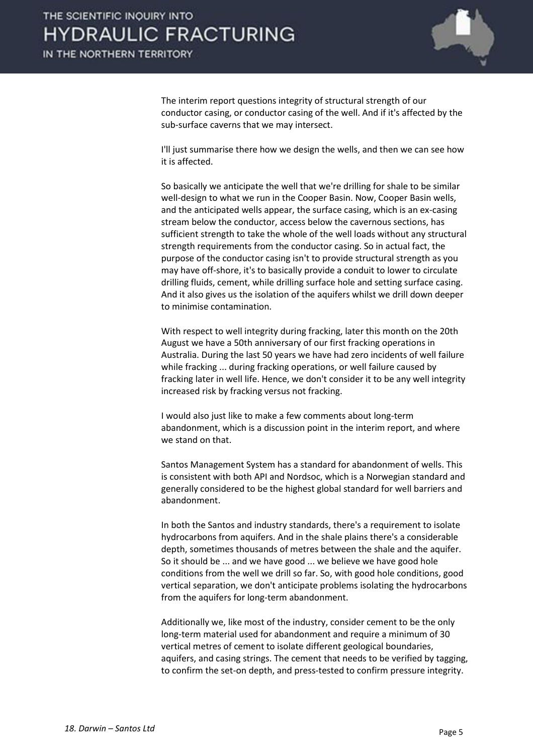

 The interim report questions integrity of structural strength of our conductor casing, or conductor casing of the well. And if it's affected by the sub-surface caverns that we may intersect.

 I'll just summarise there how we design the wells, and then we can see how it is affected.

 So basically we anticipate the well that we're drilling for shale to be similar well-design to what we run in the Cooper Basin. Now, Cooper Basin wells, and the anticipated wells appear, the surface casing, which is an ex-casing stream below the conductor, access below the cavernous sections, has sufficient strength to take the whole of the well loads without any structural strength requirements from the conductor casing. So in actual fact, the purpose of the conductor casing isn't to provide structural strength as you may have off-shore, it's to basically provide a conduit to lower to circulate drilling fluids, cement, while drilling surface hole and setting surface casing. And it also gives us the isolation of the aquifers whilst we drill down deeper to minimise contamination.

 With respect to well integrity during fracking, later this month on the 20th August we have a 50th anniversary of our first fracking operations in Australia. During the last 50 years we have had zero incidents of well failure while fracking ... during fracking operations, or well failure caused by fracking later in well life. Hence, we don't consider it to be any well integrity increased risk by fracking versus not fracking.

 I would also just like to make a few comments about long-term abandonment, which is a discussion point in the interim report, and where we stand on that.

 Santos Management System has a standard for abandonment of wells. This is consistent with both API and Nordsoc, which is a Norwegian standard and generally considered to be the highest global standard for well barriers and abandonment.

 In both the Santos and industry standards, there's a requirement to isolate hydrocarbons from aquifers. And in the shale plains there's a considerable depth, sometimes thousands of metres between the shale and the aquifer. So it should be ... and we have good ... we believe we have good hole conditions from the well we drill so far. So, with good hole conditions, good vertical separation, we don't anticipate problems isolating the hydrocarbons from the aquifers for long-term abandonment.

 Additionally we, like most of the industry, consider cement to be the only long-term material used for abandonment and require a minimum of 30 vertical metres of cement to isolate different geological boundaries, aquifers, and casing strings. The cement that needs to be verified by tagging, to confirm the set-on depth, and press-tested to confirm pressure integrity.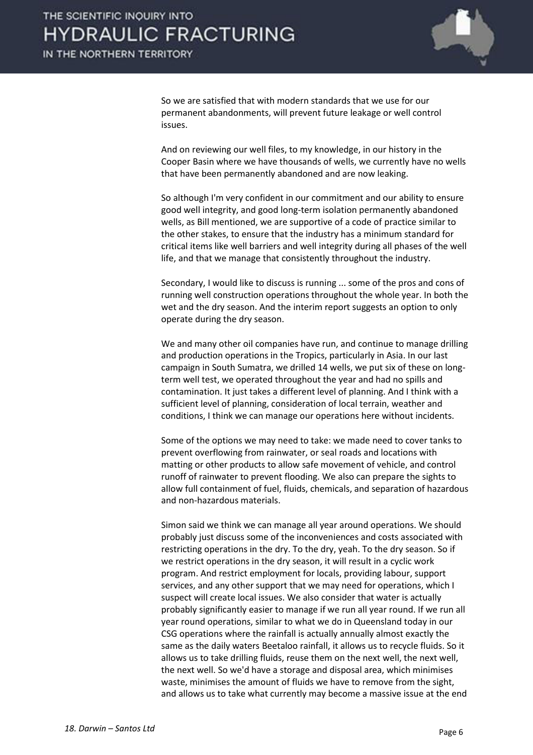

 So we are satisfied that with modern standards that we use for our permanent abandonments, will prevent future leakage or well control issues.

 And on reviewing our well files, to my knowledge, in our history in the Cooper Basin where we have thousands of wells, we currently have no wells that have been permanently abandoned and are now leaking.

 So although I'm very confident in our commitment and our ability to ensure good well integrity, and good long-term isolation permanently abandoned wells, as Bill mentioned, we are supportive of a code of practice similar to the other stakes, to ensure that the industry has a minimum standard for critical items like well barriers and well integrity during all phases of the well life, and that we manage that consistently throughout the industry.

Secondary, I would like to discuss is running ... some of the pros and cons of running well construction operations throughout the whole year. In both the wet and the dry season. And the interim report suggests an option to only operate during the dry season.

 We and many other oil companies have run, and continue to manage drilling and production operations in the Tropics, particularly in Asia. In our last campaign in South Sumatra, we drilled 14 wells, we put six of these on longterm well test, we operated throughout the year and had no spills and contamination. It just takes a different level of planning. And I think with a sufficient level of planning, consideration of local terrain, weather and conditions, I think we can manage our operations here without incidents.

 Some of the options we may need to take: we made need to cover tanks to prevent overflowing from rainwater, or seal roads and locations with matting or other products to allow safe movement of vehicle, and control runoff of rainwater to prevent flooding. We also can prepare the sights to allow full containment of fuel, fluids, chemicals, and separation of hazardous and non-hazardous materials.

 Simon said we think we can manage all year around operations. We should probably just discuss some of the inconveniences and costs associated with restricting operations in the dry. To the dry, yeah. To the dry season. So if we restrict operations in the dry season, it will result in a cyclic work program. And restrict employment for locals, providing labour, support services, and any other support that we may need for operations, which I suspect will create local issues. We also consider that water is actually probably significantly easier to manage if we run all year round. If we run all year round operations, similar to what we do in Queensland today in our CSG operations where the rainfall is actually annually almost exactly the same as the daily waters Beetaloo rainfall, it allows us to recycle fluids. So it allows us to take drilling fluids, reuse them on the next well, the next well, the next well. So we'd have a storage and disposal area, which minimises waste, minimises the amount of fluids we have to remove from the sight, and allows us to take what currently may become a massive issue at the end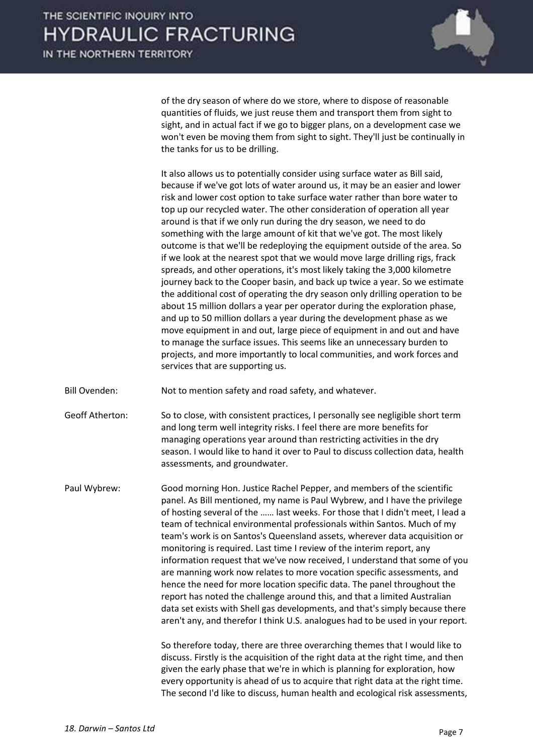

of the dry season of where do we store, where to dispose of reasonable quantities of fluids, we just reuse them and transport them from sight to sight, and in actual fact if we go to bigger plans, on a development case we won't even be moving them from sight to sight. They'll just be continually in the tanks for us to be drilling.

 It also allows us to potentially consider using surface water as Bill said, because if we've got lots of water around us, it may be an easier and lower risk and lower cost option to take surface water rather than bore water to top up our recycled water. The other consideration of operation all year around is that if we only run during the dry season, we need to do something with the large amount of kit that we've got. The most likely outcome is that we'll be redeploying the equipment outside of the area. So if we look at the nearest spot that we would move large drilling rigs, frack spreads, and other operations, it's most likely taking the 3,000 kilometre journey back to the Cooper basin, and back up twice a year. So we estimate the additional cost of operating the dry season only drilling operation to be about 15 million dollars a year per operator during the exploration phase, and up to 50 million dollars a year during the development phase as we move equipment in and out, large piece of equipment in and out and have to manage the surface issues. This seems like an unnecessary burden to projects, and more importantly to local communities, and work forces and services that are supporting us.

Bill Ovenden: Not to mention safety and road safety, and whatever.

Geoff Atherton: So to close, with consistent practices, I personally see negligible short term and long term well integrity risks. I feel there are more benefits for managing operations year around than restricting activities in the dry season. I would like to hand it over to Paul to discuss collection data, health assessments, and groundwater.

Paul Wybrew: Good morning Hon. Justice Rachel Pepper, and members of the scientific panel. As Bill mentioned, my name is Paul Wybrew, and I have the privilege of hosting several of the …… last weeks. For those that I didn't meet, I lead a team of technical environmental professionals within Santos. Much of my team's work is on Santos's Queensland assets, wherever data acquisition or monitoring is required. Last time I review of the interim report, any information request that we've now received, I understand that some of you are manning work now relates to more vocation specific assessments, and hence the need for more location specific data. The panel throughout the report has noted the challenge around this, and that a limited Australian data set exists with Shell gas developments, and that's simply because there aren't any, and therefor I think U.S. analogues had to be used in your report.

> So therefore today, there are three overarching themes that I would like to discuss. Firstly is the acquisition of the right data at the right time, and then given the early phase that we're in which is planning for exploration, how every opportunity is ahead of us to acquire that right data at the right time. The second I'd like to discuss, human health and ecological risk assessments,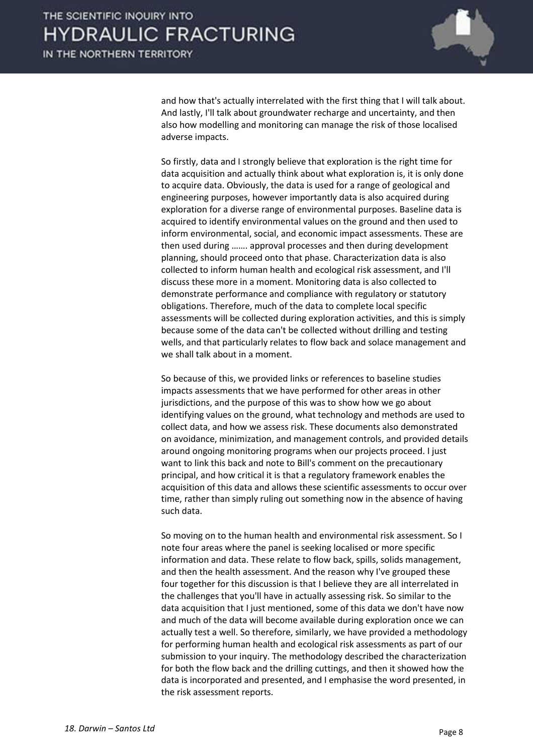

and how that's actually interrelated with the first thing that I will talk about. And lastly, I'll talk about groundwater recharge and uncertainty, and then also how modelling and monitoring can manage the risk of those localised adverse impacts.

 So firstly, data and I strongly believe that exploration is the right time for data acquisition and actually think about what exploration is, it is only done to acquire data. Obviously, the data is used for a range of geological and engineering purposes, however importantly data is also acquired during exploration for a diverse range of environmental purposes. Baseline data is acquired to identify environmental values on the ground and then used to inform environmental, social, and economic impact assessments. These are then used during ……. approval processes and then during development planning, should proceed onto that phase. Characterization data is also collected to inform human health and ecological risk assessment, and I'll discuss these more in a moment. Monitoring data is also collected to demonstrate performance and compliance with regulatory or statutory obligations. Therefore, much of the data to complete local specific assessments will be collected during exploration activities, and this is simply because some of the data can't be collected without drilling and testing wells, and that particularly relates to flow back and solace management and we shall talk about in a moment.

 So because of this, we provided links or references to baseline studies impacts assessments that we have performed for other areas in other jurisdictions, and the purpose of this was to show how we go about identifying values on the ground, what technology and methods are used to collect data, and how we assess risk. These documents also demonstrated on avoidance, minimization, and management controls, and provided details around ongoing monitoring programs when our projects proceed. I just want to link this back and note to Bill's comment on the precautionary principal, and how critical it is that a regulatory framework enables the acquisition of this data and allows these scientific assessments to occur over time, rather than simply ruling out something now in the absence of having such data.

 So moving on to the human health and environmental risk assessment. So I note four areas where the panel is seeking localised or more specific information and data. These relate to flow back, spills, solids management, and then the health assessment. And the reason why I've grouped these four together for this discussion is that I believe they are all interrelated in the challenges that you'll have in actually assessing risk. So similar to the data acquisition that I just mentioned, some of this data we don't have now and much of the data will become available during exploration once we can actually test a well. So therefore, similarly, we have provided a methodology for performing human health and ecological risk assessments as part of our submission to your inquiry. The methodology described the characterization for both the flow back and the drilling cuttings, and then it showed how the data is incorporated and presented, and I emphasise the word presented, in the risk assessment reports.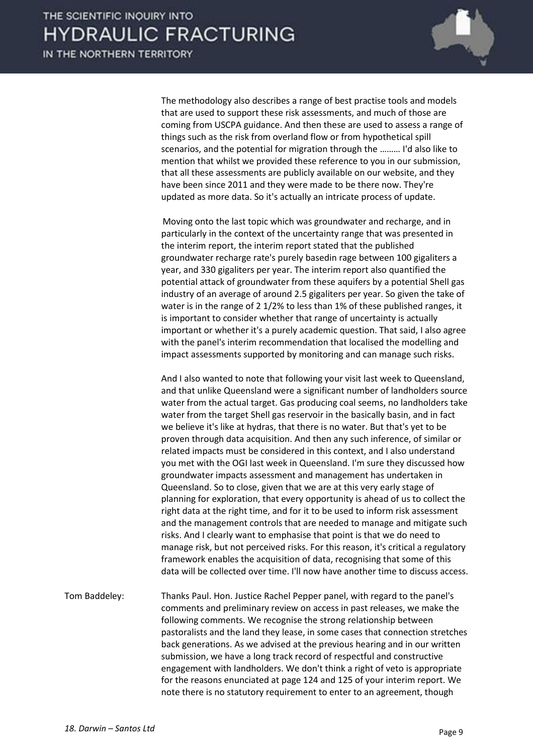

 The methodology also describes a range of best practise tools and models that are used to support these risk assessments, and much of those are coming from USCPA guidance. And then these are used to assess a range of things such as the risk from overland flow or from hypothetical spill scenarios, and the potential for migration through the ……… I'd also like to mention that whilst we provided these reference to you in our submission, that all these assessments are publicly available on our website, and they have been since 2011 and they were made to be there now. They're updated as more data. So it's actually an intricate process of update.

 Moving onto the last topic which was groundwater and recharge, and in particularly in the context of the uncertainty range that was presented in the interim report, the interim report stated that the published groundwater recharge rate's purely basedin rage between 100 gigaliters a year, and 330 gigaliters per year. The interim report also quantified the potential attack of groundwater from these aquifers by a potential Shell gas industry of an average of around 2.5 gigaliters per year. So given the take of water is in the range of 2 1/2% to less than 1% of these published ranges, it is important to consider whether that range of uncertainty is actually important or whether it's a purely academic question. That said, I also agree with the panel's interim recommendation that localised the modelling and impact assessments supported by monitoring and can manage such risks.

 And I also wanted to note that following your visit last week to Queensland, and that unlike Queensland were a significant number of landholders source water from the actual target. Gas producing coal seems, no landholders take water from the target Shell gas reservoir in the basically basin, and in fact we believe it's like at hydras, that there is no water. But that's yet to be proven through data acquisition. And then any such inference, of similar or related impacts must be considered in this context, and I also understand you met with the OGI last week in Queensland. I'm sure they discussed how groundwater impacts assessment and management has undertaken in Queensland. So to close, given that we are at this very early stage of planning for exploration, that every opportunity is ahead of us to collect the right data at the right time, and for it to be used to inform risk assessment and the management controls that are needed to manage and mitigate such risks. And I clearly want to emphasise that point is that we do need to manage risk, but not perceived risks. For this reason, it's critical a regulatory framework enables the acquisition of data, recognising that some of this data will be collected over time. I'll now have another time to discuss access.

Tom Baddeley: Thanks Paul. Hon. Justice Rachel Pepper panel, with regard to the panel's comments and preliminary review on access in past releases, we make the following comments. We recognise the strong relationship between pastoralists and the land they lease, in some cases that connection stretches back generations. As we advised at the previous hearing and in our written submission, we have a long track record of respectful and constructive engagement with landholders. We don't think a right of veto is appropriate for the reasons enunciated at page 124 and 125 of your interim report. We note there is no statutory requirement to enter to an agreement, though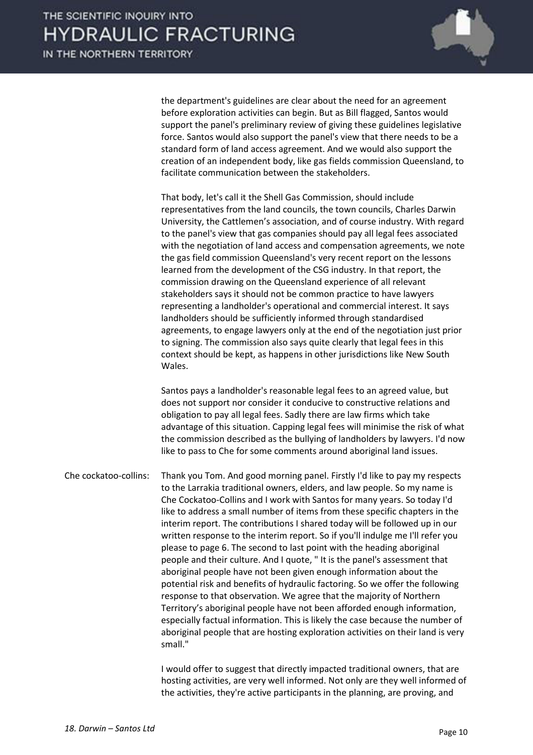

the department's guidelines are clear about the need for an agreement before exploration activities can begin. But as Bill flagged, Santos would support the panel's preliminary review of giving these guidelines legislative force. Santos would also support the panel's view that there needs to be a standard form of land access agreement. And we would also support the creation of an independent body, like gas fields commission Queensland, to facilitate communication between the stakeholders.

 That body, let's call it the Shell Gas Commission, should include representatives from the land councils, the town councils, Charles Darwin University, the Cattlemen's association, and of course industry. With regard to the panel's view that gas companies should pay all legal fees associated with the negotiation of land access and compensation agreements, we note the gas field commission Queensland's very recent report on the lessons learned from the development of the CSG industry. In that report, the commission drawing on the Queensland experience of all relevant stakeholders says it should not be common practice to have lawyers representing a landholder's operational and commercial interest. It says landholders should be sufficiently informed through standardised agreements, to engage lawyers only at the end of the negotiation just prior to signing. The commission also says quite clearly that legal fees in this context should be kept, as happens in other jurisdictions like New South Wales.

 Santos pays a landholder's reasonable legal fees to an agreed value, but does not support nor consider it conducive to constructive relations and obligation to pay all legal fees. Sadly there are law firms which take advantage of this situation. Capping legal fees will minimise the risk of what the commission described as the bullying of landholders by lawyers. I'd now like to pass to Che for some comments around aboriginal land issues.

Che cockatoo-collins: Thank you Tom. And good morning panel. Firstly I'd like to pay my respects to the Larrakia traditional owners, elders, and law people. So my name is Che Cockatoo-Collins and I work with Santos for many years. So today I'd like to address a small number of items from these specific chapters in the interim report. The contributions I shared today will be followed up in our written response to the interim report. So if you'll indulge me I'll refer you please to page 6. The second to last point with the heading aboriginal people and their culture. And I quote, " It is the panel's assessment that aboriginal people have not been given enough information about the potential risk and benefits of hydraulic factoring. So we offer the following response to that observation. We agree that the majority of Northern Territory's aboriginal people have not been afforded enough information, especially factual information. This is likely the case because the number of aboriginal people that are hosting exploration activities on their land is very small."

> I would offer to suggest that directly impacted traditional owners, that are hosting activities, are very well informed. Not only are they well informed of the activities, they're active participants in the planning, are proving, and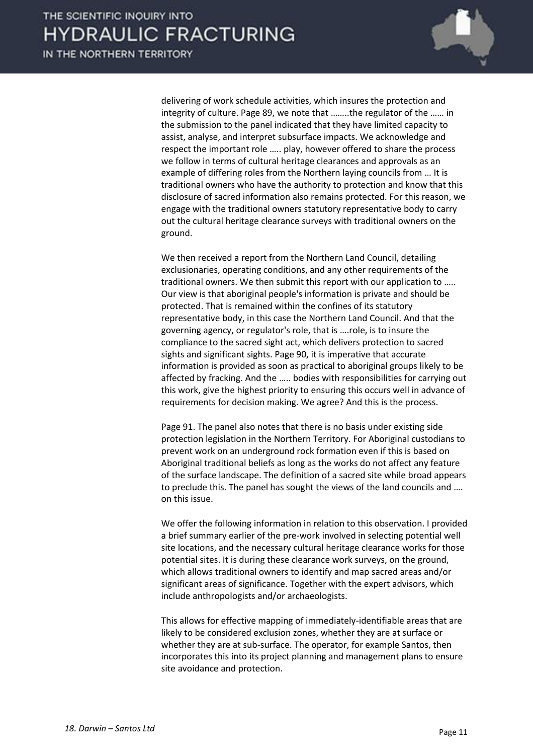

delivering of work schedule activities, which insures the protection and integrity of culture. Page 89, we note that ……..the regulator of the …… in the submission to the panel indicated that they have limited capacity to assist, analyse, and interpret subsurface impacts. We acknowledge and respect the important role ….. play, however offered to share the process we follow in terms of cultural heritage clearances and approvals as an example of differing roles from the Northern laying councils from … It is traditional owners who have the authority to protection and know that this disclosure of sacred information also remains protected. For this reason, we engage with the traditional owners statutory representative body to carry out the cultural heritage clearance surveys with traditional owners on the ground.

 We then received a report from the Northern Land Council, detailing exclusionaries, operating conditions, and any other requirements of the traditional owners. We then submit this report with our application to ….. Our view is that aboriginal people's information is private and should be protected. That is remained within the confines of its statutory representative body, in this case the Northern Land Council. And that the governing agency, or regulator's role, that is ….role, is to insure the compliance to the sacred sight act, which delivers protection to sacred sights and significant sights. Page 90, it is imperative that accurate information is provided as soon as practical to aboriginal groups likely to be affected by fracking. And the ..... bodies with responsibilities for carrying out this work, give the highest priority to ensuring this occurs well in advance of requirements for decision making. We agree? And this is the process.

 Page 91. The panel also notes that there is no basis under existing side protection legislation in the Northern Territory. For Aboriginal custodians to prevent work on an underground rock formation even if this is based on Aboriginal traditional beliefs as long as the works do not affect any feature of the surface landscape. The definition of a sacred site while broad appears to preclude this. The panel has sought the views of the land councils and …. on this issue.

 We offer the following information in relation to this observation. I provided a brief summary earlier of the pre-work involved in selecting potential well site locations, and the necessary cultural heritage clearance works for those potential sites. It is during these clearance work surveys, on the ground, which allows traditional owners to identify and map sacred areas and/or significant areas of significance. Together with the expert advisors, which include anthropologists and/or archaeologists.

 This allows for effective mapping of immediately-identifiable areas that are likely to be considered exclusion zones, whether they are at surface or whether they are at sub-surface. The operator, for example Santos, then incorporates this into its project planning and management plans to ensure site avoidance and protection.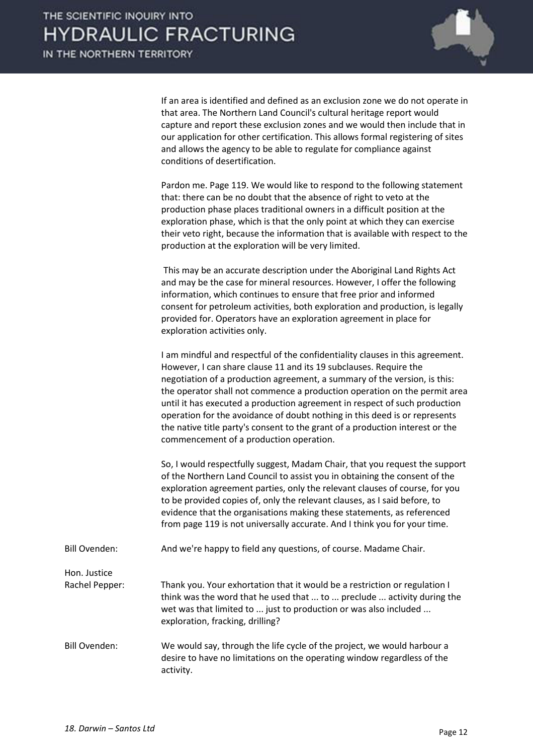

 If an area is identified and defined as an exclusion zone we do not operate in that area. The Northern Land Council's cultural heritage report would capture and report these exclusion zones and we would then include that in our application for other certification. This allows formal registering of sites and allows the agency to be able to regulate for compliance against conditions of desertification.

 Pardon me. Page 119. We would like to respond to the following statement that: there can be no doubt that the absence of right to veto at the production phase places traditional owners in a difficult position at the exploration phase, which is that the only point at which they can exercise their veto right, because the information that is available with respect to the production at the exploration will be very limited.

 This may be an accurate description under the Aboriginal Land Rights Act and may be the case for mineral resources. However, I offer the following information, which continues to ensure that free prior and informed consent for petroleum activities, both exploration and production, is legally provided for. Operators have an exploration agreement in place for exploration activities only.

 I am mindful and respectful of the confidentiality clauses in this agreement. However, I can share clause 11 and its 19 subclauses. Require the negotiation of a production agreement, a summary of the version, is this: the operator shall not commence a production operation on the permit area until it has executed a production agreement in respect of such production operation for the avoidance of doubt nothing in this deed is or represents the native title party's consent to the grant of a production interest or the commencement of a production operation.

 So, I would respectfully suggest, Madam Chair, that you request the support of the Northern Land Council to assist you in obtaining the consent of the exploration agreement parties, only the relevant clauses of course, for you to be provided copies of, only the relevant clauses, as I said before, to evidence that the organisations making these statements, as referenced from page 119 is not universally accurate. And I think you for your time.

- Bill Ovenden: And we're happy to field any questions, of course. Madame Chair.
- Hon. Justice Rachel Pepper: Thank you. Your exhortation that it would be a restriction or regulation I think was the word that he used that ... to ... preclude ... activity during the wet was that limited to ... just to production or was also included ... exploration, fracking, drilling?
- Bill Ovenden: We would say, through the life cycle of the project, we would harbour a desire to have no limitations on the operating window regardless of the activity.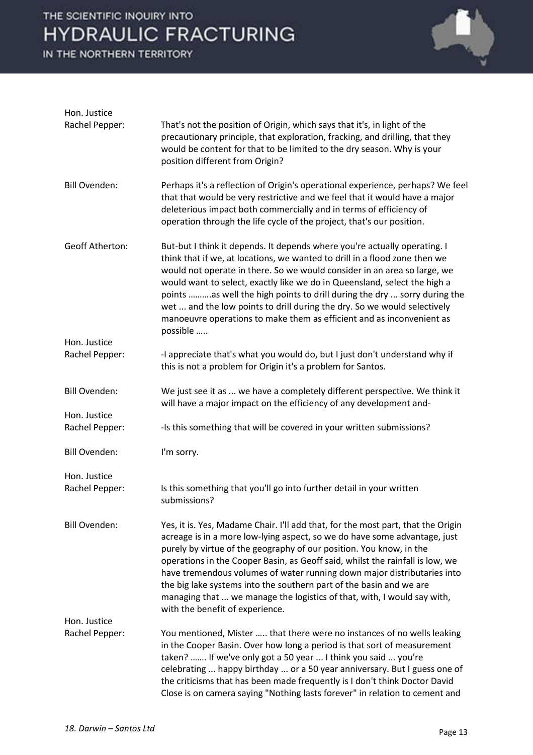

| Hon. Justice                   |                                                                                                                                                                                                                                                                                                                                                                                                                                                                                                                                                                                       |
|--------------------------------|---------------------------------------------------------------------------------------------------------------------------------------------------------------------------------------------------------------------------------------------------------------------------------------------------------------------------------------------------------------------------------------------------------------------------------------------------------------------------------------------------------------------------------------------------------------------------------------|
| Rachel Pepper:                 | That's not the position of Origin, which says that it's, in light of the<br>precautionary principle, that exploration, fracking, and drilling, that they<br>would be content for that to be limited to the dry season. Why is your<br>position different from Origin?                                                                                                                                                                                                                                                                                                                 |
| <b>Bill Ovenden:</b>           | Perhaps it's a reflection of Origin's operational experience, perhaps? We feel<br>that that would be very restrictive and we feel that it would have a major<br>deleterious impact both commercially and in terms of efficiency of<br>operation through the life cycle of the project, that's our position.                                                                                                                                                                                                                                                                           |
| <b>Geoff Atherton:</b>         | But-but I think it depends. It depends where you're actually operating. I<br>think that if we, at locations, we wanted to drill in a flood zone then we<br>would not operate in there. So we would consider in an area so large, we<br>would want to select, exactly like we do in Queensland, select the high a<br>points as well the high points to drill during the dry  sorry during the<br>wet  and the low points to drill during the dry. So we would selectively<br>manoeuvre operations to make them as efficient and as inconvenient as<br>possible                         |
| Hon. Justice<br>Rachel Pepper: | -I appreciate that's what you would do, but I just don't understand why if<br>this is not a problem for Origin it's a problem for Santos.                                                                                                                                                                                                                                                                                                                                                                                                                                             |
| <b>Bill Ovenden:</b>           | We just see it as  we have a completely different perspective. We think it<br>will have a major impact on the efficiency of any development and-                                                                                                                                                                                                                                                                                                                                                                                                                                      |
| Hon. Justice<br>Rachel Pepper: | -Is this something that will be covered in your written submissions?                                                                                                                                                                                                                                                                                                                                                                                                                                                                                                                  |
| <b>Bill Ovenden:</b>           | I'm sorry.                                                                                                                                                                                                                                                                                                                                                                                                                                                                                                                                                                            |
| Hon. Justice<br>Rachel Pepper: | Is this something that you'll go into further detail in your written<br>submissions?                                                                                                                                                                                                                                                                                                                                                                                                                                                                                                  |
| <b>Bill Ovenden:</b>           | Yes, it is. Yes, Madame Chair. I'll add that, for the most part, that the Origin<br>acreage is in a more low-lying aspect, so we do have some advantage, just<br>purely by virtue of the geography of our position. You know, in the<br>operations in the Cooper Basin, as Geoff said, whilst the rainfall is low, we<br>have tremendous volumes of water running down major distributaries into<br>the big lake systems into the southern part of the basin and we are<br>managing that  we manage the logistics of that, with, I would say with,<br>with the benefit of experience. |
| Hon. Justice                   |                                                                                                                                                                                                                                                                                                                                                                                                                                                                                                                                                                                       |
| Rachel Pepper:                 | You mentioned, Mister  that there were no instances of no wells leaking<br>in the Cooper Basin. Over how long a period is that sort of measurement<br>taken?  If we've only got a 50 year  I think you said  you're<br>celebrating  happy birthday  or a 50 year anniversary. But I guess one of<br>the criticisms that has been made frequently is I don't think Doctor David<br>Close is on camera saying "Nothing lasts forever" in relation to cement and                                                                                                                         |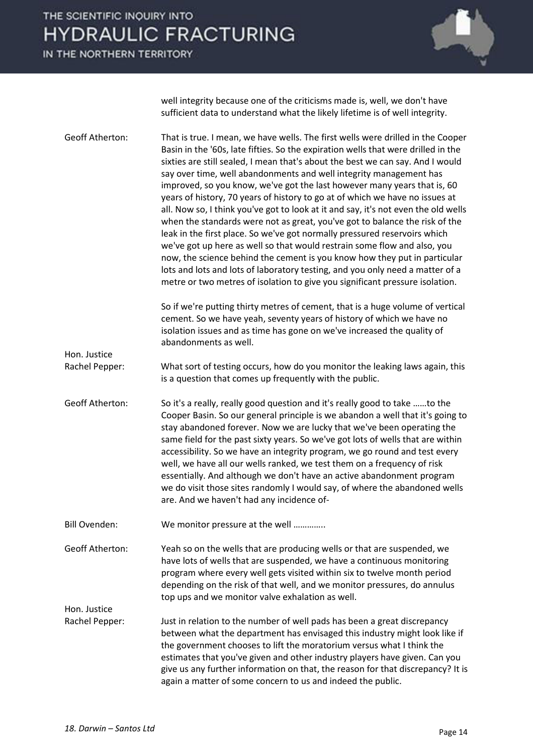IN THE NORTHERN TERRITORY



well integrity because one of the criticisms made is, well, we don't have sufficient data to understand what the likely lifetime is of well integrity.

Geoff Atherton: That is true. I mean, we have wells. The first wells were drilled in the Cooper Basin in the '60s, late fifties. So the expiration wells that were drilled in the sixties are still sealed, I mean that's about the best we can say. And I would say over time, well abandonments and well integrity management has improved, so you know, we've got the last however many years that is, 60 years of history, 70 years of history to go at of which we have no issues at all. Now so, I think you've got to look at it and say, it's not even the old wells when the standards were not as great, you've got to balance the risk of the leak in the first place. So we've got normally pressured reservoirs which we've got up here as well so that would restrain some flow and also, you now, the science behind the cement is you know how they put in particular lots and lots and lots of laboratory testing, and you only need a matter of a metre or two metres of isolation to give you significant pressure isolation. So if we're putting thirty metres of cement, that is a huge volume of vertical cement. So we have yeah, seventy years of history of which we have no isolation issues and as time has gone on we've increased the quality of abandonments as well. Hon. Justice Rachel Pepper: What sort of testing occurs, how do you monitor the leaking laws again, this is a question that comes up frequently with the public. Geoff Atherton: So it's a really, really good question and it's really good to take ……to the Cooper Basin. So our general principle is we abandon a well that it's going to stay abandoned forever. Now we are lucky that we've been operating the same field for the past sixty years. So we've got lots of wells that are within accessibility. So we have an integrity program, we go round and test every well, we have all our wells ranked, we test them on a frequency of risk essentially. And although we don't have an active abandonment program we do visit those sites randomly I would say, of where the abandoned wells are. And we haven't had any incidence of-Bill Ovenden: We monitor pressure at the well .............. Geoff Atherton: Yeah so on the wells that are producing wells or that are suspended, we have lots of wells that are suspended, we have a continuous monitoring program where every well gets visited within six to twelve month period depending on the risk of that well, and we monitor pressures, do annulus top ups and we monitor valve exhalation as well. Hon. Justice Rachel Pepper: Just in relation to the number of well pads has been a great discrepancy between what the department has envisaged this industry might look like if the government chooses to lift the moratorium versus what I think the estimates that you've given and other industry players have given. Can you give us any further information on that, the reason for that discrepancy? It is again a matter of some concern to us and indeed the public.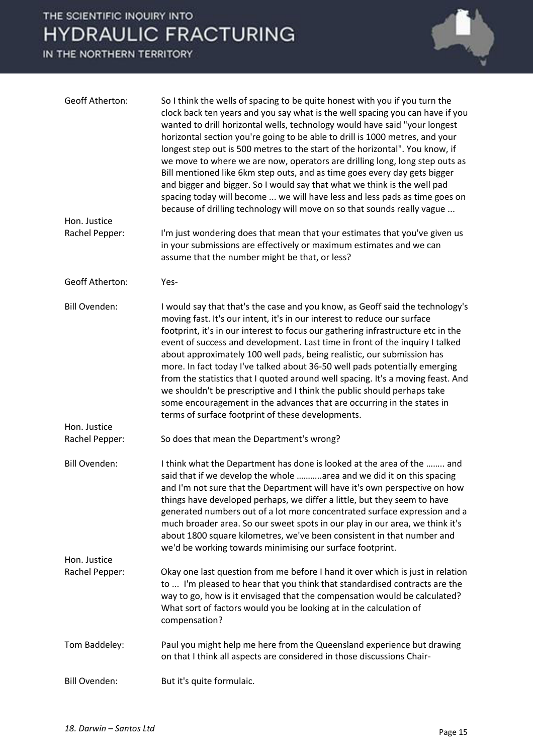| <b>Geoff Atherton:</b>         | So I think the wells of spacing to be quite honest with you if you turn the<br>clock back ten years and you say what is the well spacing you can have if you<br>wanted to drill horizontal wells, technology would have said "your longest<br>horizontal section you're going to be able to drill is 1000 metres, and your<br>longest step out is 500 metres to the start of the horizontal". You know, if<br>we move to where we are now, operators are drilling long, long step outs as<br>Bill mentioned like 6km step outs, and as time goes every day gets bigger<br>and bigger and bigger. So I would say that what we think is the well pad<br>spacing today will become  we will have less and less pads as time goes on<br>because of drilling technology will move on so that sounds really vague |
|--------------------------------|-------------------------------------------------------------------------------------------------------------------------------------------------------------------------------------------------------------------------------------------------------------------------------------------------------------------------------------------------------------------------------------------------------------------------------------------------------------------------------------------------------------------------------------------------------------------------------------------------------------------------------------------------------------------------------------------------------------------------------------------------------------------------------------------------------------|
| Hon. Justice                   |                                                                                                                                                                                                                                                                                                                                                                                                                                                                                                                                                                                                                                                                                                                                                                                                             |
| Rachel Pepper:                 | I'm just wondering does that mean that your estimates that you've given us<br>in your submissions are effectively or maximum estimates and we can<br>assume that the number might be that, or less?                                                                                                                                                                                                                                                                                                                                                                                                                                                                                                                                                                                                         |
| <b>Geoff Atherton:</b>         | Yes-                                                                                                                                                                                                                                                                                                                                                                                                                                                                                                                                                                                                                                                                                                                                                                                                        |
| <b>Bill Ovenden:</b>           | I would say that that's the case and you know, as Geoff said the technology's<br>moving fast. It's our intent, it's in our interest to reduce our surface<br>footprint, it's in our interest to focus our gathering infrastructure etc in the<br>event of success and development. Last time in front of the inquiry I talked<br>about approximately 100 well pads, being realistic, our submission has<br>more. In fact today I've talked about 36-50 well pads potentially emerging<br>from the statistics that I quoted around well spacing. It's a moving feast. And<br>we shouldn't be prescriptive and I think the public should perhaps take<br>some encouragement in the advances that are occurring in the states in<br>terms of surface footprint of these developments.                          |
| Hon. Justice<br>Rachel Pepper: | So does that mean the Department's wrong?                                                                                                                                                                                                                                                                                                                                                                                                                                                                                                                                                                                                                                                                                                                                                                   |
| <b>Bill Ovenden:</b>           | I think what the Department has done is looked at the area of the  and<br>said that if we develop the whole area and we did it on this spacing<br>and I'm not sure that the Department will have it's own perspective on how<br>things have developed perhaps, we differ a little, but they seem to have<br>generated numbers out of a lot more concentrated surface expression and a<br>much broader area. So our sweet spots in our play in our area, we think it's<br>about 1800 square kilometres, we've been consistent in that number and<br>we'd be working towards minimising our surface footprint.                                                                                                                                                                                                |
| Hon. Justice                   |                                                                                                                                                                                                                                                                                                                                                                                                                                                                                                                                                                                                                                                                                                                                                                                                             |
| Rachel Pepper:                 | Okay one last question from me before I hand it over which is just in relation<br>to  I'm pleased to hear that you think that standardised contracts are the<br>way to go, how is it envisaged that the compensation would be calculated?<br>What sort of factors would you be looking at in the calculation of<br>compensation?                                                                                                                                                                                                                                                                                                                                                                                                                                                                            |
| Tom Baddeley:                  | Paul you might help me here from the Queensland experience but drawing<br>on that I think all aspects are considered in those discussions Chair-                                                                                                                                                                                                                                                                                                                                                                                                                                                                                                                                                                                                                                                            |
| <b>Bill Ovenden:</b>           | But it's quite formulaic.                                                                                                                                                                                                                                                                                                                                                                                                                                                                                                                                                                                                                                                                                                                                                                                   |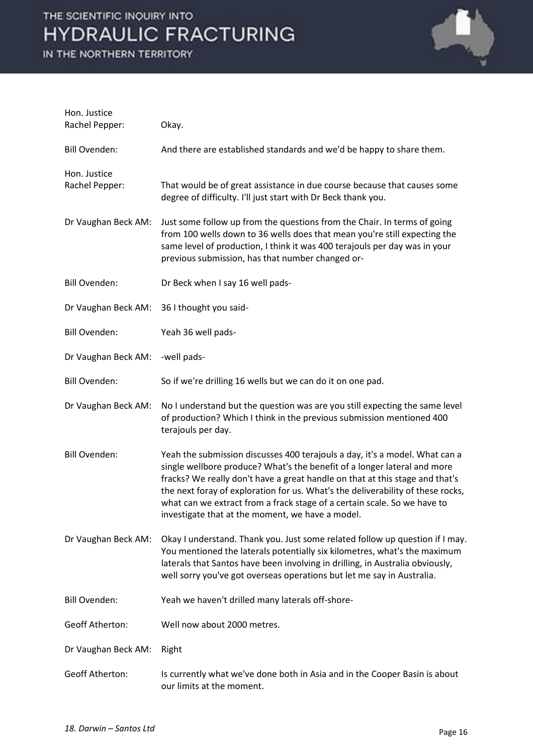

| Hon. Justice<br>Rachel Pepper: | Okay.                                                                                                                                                                                                                                                                                                                                                                                                                                                      |
|--------------------------------|------------------------------------------------------------------------------------------------------------------------------------------------------------------------------------------------------------------------------------------------------------------------------------------------------------------------------------------------------------------------------------------------------------------------------------------------------------|
| <b>Bill Ovenden:</b>           | And there are established standards and we'd be happy to share them.                                                                                                                                                                                                                                                                                                                                                                                       |
| Hon. Justice<br>Rachel Pepper: | That would be of great assistance in due course because that causes some<br>degree of difficulty. I'll just start with Dr Beck thank you.                                                                                                                                                                                                                                                                                                                  |
| Dr Vaughan Beck AM:            | Just some follow up from the questions from the Chair. In terms of going<br>from 100 wells down to 36 wells does that mean you're still expecting the<br>same level of production, I think it was 400 terajouls per day was in your<br>previous submission, has that number changed or-                                                                                                                                                                    |
| <b>Bill Ovenden:</b>           | Dr Beck when I say 16 well pads-                                                                                                                                                                                                                                                                                                                                                                                                                           |
| Dr Vaughan Beck AM:            | 36 I thought you said-                                                                                                                                                                                                                                                                                                                                                                                                                                     |
| <b>Bill Ovenden:</b>           | Yeah 36 well pads-                                                                                                                                                                                                                                                                                                                                                                                                                                         |
| Dr Vaughan Beck AM:            | -well pads-                                                                                                                                                                                                                                                                                                                                                                                                                                                |
| <b>Bill Ovenden:</b>           | So if we're drilling 16 wells but we can do it on one pad.                                                                                                                                                                                                                                                                                                                                                                                                 |
| Dr Vaughan Beck AM:            | No I understand but the question was are you still expecting the same level<br>of production? Which I think in the previous submission mentioned 400<br>terajouls per day.                                                                                                                                                                                                                                                                                 |
| <b>Bill Ovenden:</b>           | Yeah the submission discusses 400 terajouls a day, it's a model. What can a<br>single wellbore produce? What's the benefit of a longer lateral and more<br>fracks? We really don't have a great handle on that at this stage and that's<br>the next foray of exploration for us. What's the deliverability of these rocks,<br>what can we extract from a frack stage of a certain scale. So we have to<br>investigate that at the moment, we have a model. |
| Dr Vaughan Beck AM:            | Okay I understand. Thank you. Just some related follow up question if I may.<br>You mentioned the laterals potentially six kilometres, what's the maximum<br>laterals that Santos have been involving in drilling, in Australia obviously,<br>well sorry you've got overseas operations but let me say in Australia.                                                                                                                                       |
| <b>Bill Ovenden:</b>           | Yeah we haven't drilled many laterals off-shore-                                                                                                                                                                                                                                                                                                                                                                                                           |
| <b>Geoff Atherton:</b>         | Well now about 2000 metres.                                                                                                                                                                                                                                                                                                                                                                                                                                |
| Dr Vaughan Beck AM:            | Right                                                                                                                                                                                                                                                                                                                                                                                                                                                      |
| <b>Geoff Atherton:</b>         | Is currently what we've done both in Asia and in the Cooper Basin is about<br>our limits at the moment.                                                                                                                                                                                                                                                                                                                                                    |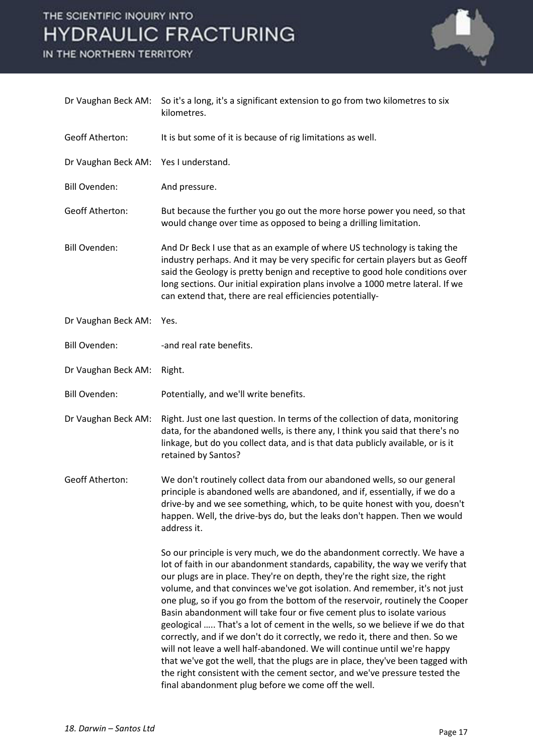

| Dr Vaughan Beck AM:    | So it's a long, it's a significant extension to go from two kilometres to six<br>kilometres.                                                                                                                                                                                                                                                                                                                                                                                                                                                                                                                                                                                                                                                                                                                                                                                                                                                             |
|------------------------|----------------------------------------------------------------------------------------------------------------------------------------------------------------------------------------------------------------------------------------------------------------------------------------------------------------------------------------------------------------------------------------------------------------------------------------------------------------------------------------------------------------------------------------------------------------------------------------------------------------------------------------------------------------------------------------------------------------------------------------------------------------------------------------------------------------------------------------------------------------------------------------------------------------------------------------------------------|
| <b>Geoff Atherton:</b> | It is but some of it is because of rig limitations as well.                                                                                                                                                                                                                                                                                                                                                                                                                                                                                                                                                                                                                                                                                                                                                                                                                                                                                              |
| Dr Vaughan Beck AM:    | Yes I understand.                                                                                                                                                                                                                                                                                                                                                                                                                                                                                                                                                                                                                                                                                                                                                                                                                                                                                                                                        |
| <b>Bill Ovenden:</b>   | And pressure.                                                                                                                                                                                                                                                                                                                                                                                                                                                                                                                                                                                                                                                                                                                                                                                                                                                                                                                                            |
| <b>Geoff Atherton:</b> | But because the further you go out the more horse power you need, so that<br>would change over time as opposed to being a drilling limitation.                                                                                                                                                                                                                                                                                                                                                                                                                                                                                                                                                                                                                                                                                                                                                                                                           |
| <b>Bill Ovenden:</b>   | And Dr Beck I use that as an example of where US technology is taking the<br>industry perhaps. And it may be very specific for certain players but as Geoff<br>said the Geology is pretty benign and receptive to good hole conditions over<br>long sections. Our initial expiration plans involve a 1000 metre lateral. If we<br>can extend that, there are real efficiencies potentially-                                                                                                                                                                                                                                                                                                                                                                                                                                                                                                                                                              |
| Dr Vaughan Beck AM:    | Yes.                                                                                                                                                                                                                                                                                                                                                                                                                                                                                                                                                                                                                                                                                                                                                                                                                                                                                                                                                     |
| <b>Bill Ovenden:</b>   | -and real rate benefits.                                                                                                                                                                                                                                                                                                                                                                                                                                                                                                                                                                                                                                                                                                                                                                                                                                                                                                                                 |
| Dr Vaughan Beck AM:    | Right.                                                                                                                                                                                                                                                                                                                                                                                                                                                                                                                                                                                                                                                                                                                                                                                                                                                                                                                                                   |
| <b>Bill Ovenden:</b>   | Potentially, and we'll write benefits.                                                                                                                                                                                                                                                                                                                                                                                                                                                                                                                                                                                                                                                                                                                                                                                                                                                                                                                   |
| Dr Vaughan Beck AM:    | Right. Just one last question. In terms of the collection of data, monitoring<br>data, for the abandoned wells, is there any, I think you said that there's no<br>linkage, but do you collect data, and is that data publicly available, or is it<br>retained by Santos?                                                                                                                                                                                                                                                                                                                                                                                                                                                                                                                                                                                                                                                                                 |
| <b>Geoff Atherton:</b> | We don't routinely collect data from our abandoned wells, so our general<br>principle is abandoned wells are abandoned, and if, essentially, if we do a<br>drive-by and we see something, which, to be quite honest with you, doesn't<br>happen. Well, the drive-bys do, but the leaks don't happen. Then we would<br>address it.                                                                                                                                                                                                                                                                                                                                                                                                                                                                                                                                                                                                                        |
|                        | So our principle is very much, we do the abandonment correctly. We have a<br>lot of faith in our abandonment standards, capability, the way we verify that<br>our plugs are in place. They're on depth, they're the right size, the right<br>volume, and that convinces we've got isolation. And remember, it's not just<br>one plug, so if you go from the bottom of the reservoir, routinely the Cooper<br>Basin abandonment will take four or five cement plus to isolate various<br>geological  That's a lot of cement in the wells, so we believe if we do that<br>correctly, and if we don't do it correctly, we redo it, there and then. So we<br>will not leave a well half-abandoned. We will continue until we're happy<br>that we've got the well, that the plugs are in place, they've been tagged with<br>the right consistent with the cement sector, and we've pressure tested the<br>final abandonment plug before we come off the well. |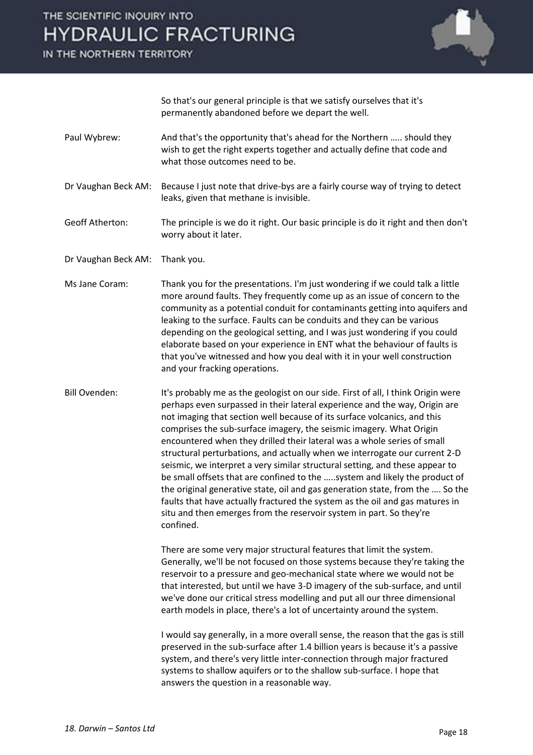

 So that's our general principle is that we satisfy ourselves that it's permanently abandoned before we depart the well.

Paul Wybrew: And that's the opportunity that's ahead for the Northern ….. should they wish to get the right experts together and actually define that code and what those outcomes need to be.

Dr Vaughan Beck AM: Because I just note that drive-bys are a fairly course way of trying to detect leaks, given that methane is invisible.

Geoff Atherton: The principle is we do it right. Our basic principle is do it right and then don't worry about it later.

- Dr Vaughan Beck AM: Thank you.
- Ms Jane Coram: Thank you for the presentations. I'm just wondering if we could talk a little more around faults. They frequently come up as an issue of concern to the community as a potential conduit for contaminants getting into aquifers and leaking to the surface. Faults can be conduits and they can be various depending on the geological setting, and I was just wondering if you could elaborate based on your experience in ENT what the behaviour of faults is that you've witnessed and how you deal with it in your well construction and your fracking operations.
- Bill Ovenden: It's probably me as the geologist on our side. First of all, I think Origin were perhaps even surpassed in their lateral experience and the way, Origin are not imaging that section well because of its surface volcanics, and this comprises the sub-surface imagery, the seismic imagery. What Origin encountered when they drilled their lateral was a whole series of small structural perturbations, and actually when we interrogate our current 2-D seismic, we interpret a very similar structural setting, and these appear to be small offsets that are confined to the …..system and likely the product of the original generative state, oil and gas generation state, from the …. So the faults that have actually fractured the system as the oil and gas matures in situ and then emerges from the reservoir system in part. So they're confined.

 There are some very major structural features that limit the system. Generally, we'll be not focused on those systems because they're taking the reservoir to a pressure and geo-mechanical state where we would not be that interested, but until we have 3-D imagery of the sub-surface, and until we've done our critical stress modelling and put all our three dimensional earth models in place, there's a lot of uncertainty around the system.

 I would say generally, in a more overall sense, the reason that the gas is still preserved in the sub-surface after 1.4 billion years is because it's a passive system, and there's very little inter-connection through major fractured systems to shallow aquifers or to the shallow sub-surface. I hope that answers the question in a reasonable way.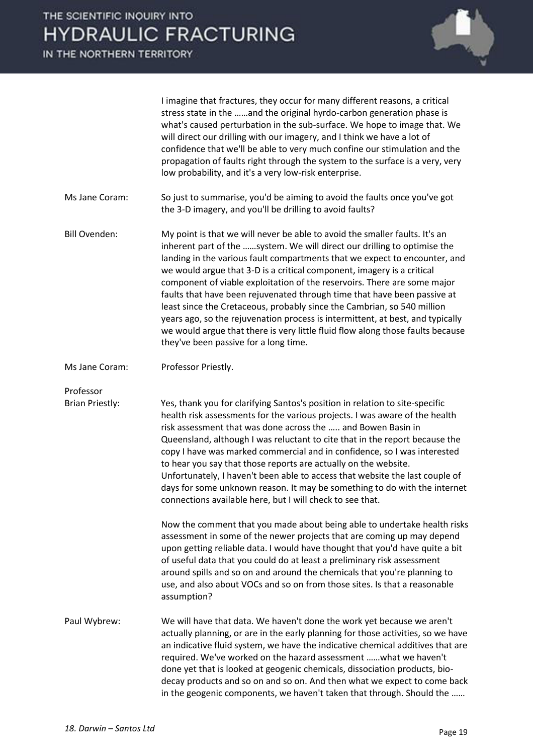IN THE NORTHERN TERRITORY



 I imagine that fractures, they occur for many different reasons, a critical stress state in the ……and the original hyrdo-carbon generation phase is what's caused perturbation in the sub-surface. We hope to image that. We will direct our drilling with our imagery, and I think we have a lot of confidence that we'll be able to very much confine our stimulation and the propagation of faults right through the system to the surface is a very, very low probability, and it's a very low-risk enterprise.

- Ms Jane Coram: So just to summarise, you'd be aiming to avoid the faults once you've got the 3-D imagery, and you'll be drilling to avoid faults?
- Bill Ovenden: My point is that we will never be able to avoid the smaller faults. It's an inherent part of the ……system. We will direct our drilling to optimise the landing in the various fault compartments that we expect to encounter, and we would argue that 3-D is a critical component, imagery is a critical component of viable exploitation of the reservoirs. There are some major faults that have been rejuvenated through time that have been passive at least since the Cretaceous, probably since the Cambrian, so 540 million years ago, so the rejuvenation process is intermittent, at best, and typically we would argue that there is very little fluid flow along those faults because they've been passive for a long time.
- Ms Jane Coram: Professor Priestly.

Professor

Brian Priestly: Yes, thank you for clarifying Santos's position in relation to site-specific health risk assessments for the various projects. I was aware of the health risk assessment that was done across the ….. and Bowen Basin in Queensland, although I was reluctant to cite that in the report because the copy I have was marked commercial and in confidence, so I was interested to hear you say that those reports are actually on the website. Unfortunately, I haven't been able to access that website the last couple of days for some unknown reason. It may be something to do with the internet connections available here, but I will check to see that.

> Now the comment that you made about being able to undertake health risks assessment in some of the newer projects that are coming up may depend upon getting reliable data. I would have thought that you'd have quite a bit of useful data that you could do at least a preliminary risk assessment around spills and so on and around the chemicals that you're planning to use, and also about VOCs and so on from those sites. Is that a reasonable assumption?

Paul Wybrew: We will have that data. We haven't done the work yet because we aren't actually planning, or are in the early planning for those activities, so we have an indicative fluid system, we have the indicative chemical additives that are required. We've worked on the hazard assessment ……what we haven't done yet that is looked at geogenic chemicals, dissociation products, biodecay products and so on and so on. And then what we expect to come back in the geogenic components, we haven't taken that through. Should the ……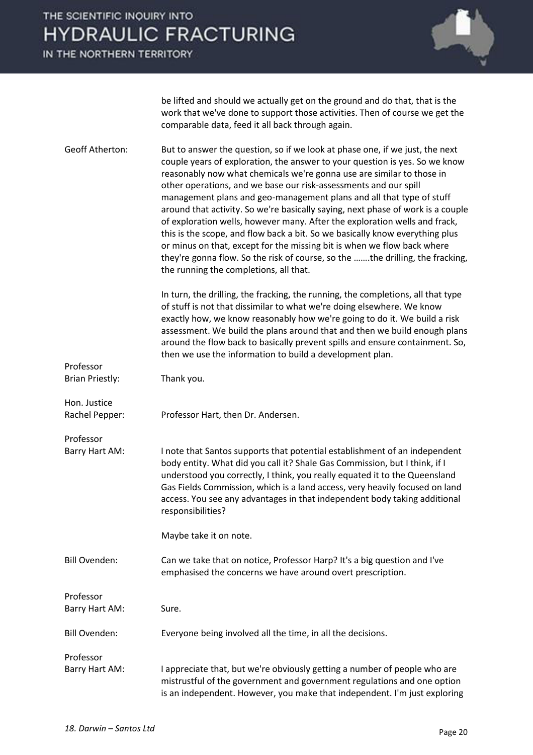IN THE NORTHERN TERRITORY



be lifted and should we actually get on the ground and do that, that is the work that we've done to support those activities. Then of course we get the comparable data, feed it all back through again.

Geoff Atherton: But to answer the question, so if we look at phase one, if we just, the next couple years of exploration, the answer to your question is yes. So we know reasonably now what chemicals we're gonna use are similar to those in other operations, and we base our risk-assessments and our spill management plans and geo-management plans and all that type of stuff around that activity. So we're basically saying, next phase of work is a couple of exploration wells, however many. After the exploration wells and frack, this is the scope, and flow back a bit. So we basically know everything plus or minus on that, except for the missing bit is when we flow back where they're gonna flow. So the risk of course, so the …….the drilling, the fracking, the running the completions, all that.

> In turn, the drilling, the fracking, the running, the completions, all that type of stuff is not that dissimilar to what we're doing elsewhere. We know exactly how, we know reasonably how we're going to do it. We build a risk assessment. We build the plans around that and then we build enough plans around the flow back to basically prevent spills and ensure containment. So, then we use the information to build a development plan.

Professor Brian Priestly: Thank you. Hon. Justice Rachel Pepper: Professor Hart, then Dr. Andersen.

Professor

Barry Hart AM: I note that Santos supports that potential establishment of an independent body entity. What did you call it? Shale Gas Commission, but I think, if I understood you correctly, I think, you really equated it to the Queensland Gas Fields Commission, which is a land access, very heavily focused on land access. You see any advantages in that independent body taking additional responsibilities?

Maybe take it on note.

Bill Ovenden: Can we take that on notice, Professor Harp? It's a big question and I've emphasised the concerns we have around overt prescription.

Professor Barry Hart AM: Sure. Bill Ovenden: Everyone being involved all the time, in all the decisions.

Professor Barry Hart AM: I appreciate that, but we're obviously getting a number of people who are mistrustful of the government and government regulations and one option is an independent. However, you make that independent. I'm just exploring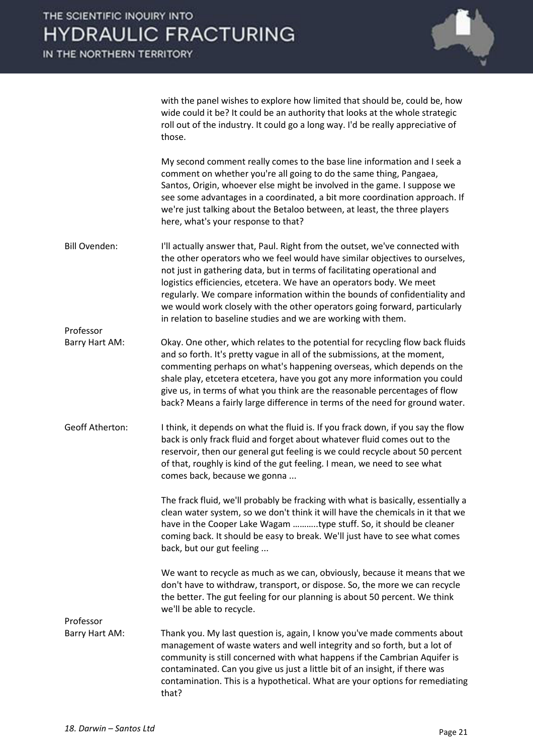

with the panel wishes to explore how limited that should be, could be, how wide could it be? It could be an authority that looks at the whole strategic roll out of the industry. It could go a long way. I'd be really appreciative of those.

 My second comment really comes to the base line information and I seek a comment on whether you're all going to do the same thing, Pangaea, Santos, Origin, whoever else might be involved in the game. I suppose we see some advantages in a coordinated, a bit more coordination approach. If we're just talking about the Betaloo between, at least, the three players here, what's your response to that?

- Bill Ovenden: I'll actually answer that, Paul. Right from the outset, we've connected with the other operators who we feel would have similar objectives to ourselves, not just in gathering data, but in terms of facilitating operational and logistics efficiencies, etcetera. We have an operators body. We meet regularly. We compare information within the bounds of confidentiality and we would work closely with the other operators going forward, particularly in relation to baseline studies and we are working with them.
- Barry Hart AM: Okay. One other, which relates to the potential for recycling flow back fluids and so forth. It's pretty vague in all of the submissions, at the moment, commenting perhaps on what's happening overseas, which depends on the shale play, etcetera etcetera, have you got any more information you could give us, in terms of what you think are the reasonable percentages of flow back? Means a fairly large difference in terms of the need for ground water.
- Geoff Atherton: I think, it depends on what the fluid is. If you frack down, if you say the flow back is only frack fluid and forget about whatever fluid comes out to the reservoir, then our general gut feeling is we could recycle about 50 percent of that, roughly is kind of the gut feeling. I mean, we need to see what comes back, because we gonna ...

 The frack fluid, we'll probably be fracking with what is basically, essentially a clean water system, so we don't think it will have the chemicals in it that we have in the Cooper Lake Wagam ………..type stuff. So, it should be cleaner coming back. It should be easy to break. We'll just have to see what comes back, but our gut feeling ...

 We want to recycle as much as we can, obviously, because it means that we don't have to withdraw, transport, or dispose. So, the more we can recycle the better. The gut feeling for our planning is about 50 percent. We think we'll be able to recycle.

Professor

Professor

Barry Hart AM: Thank you. My last question is, again, I know you've made comments about management of waste waters and well integrity and so forth, but a lot of community is still concerned with what happens if the Cambrian Aquifer is contaminated. Can you give us just a little bit of an insight, if there was contamination. This is a hypothetical. What are your options for remediating that?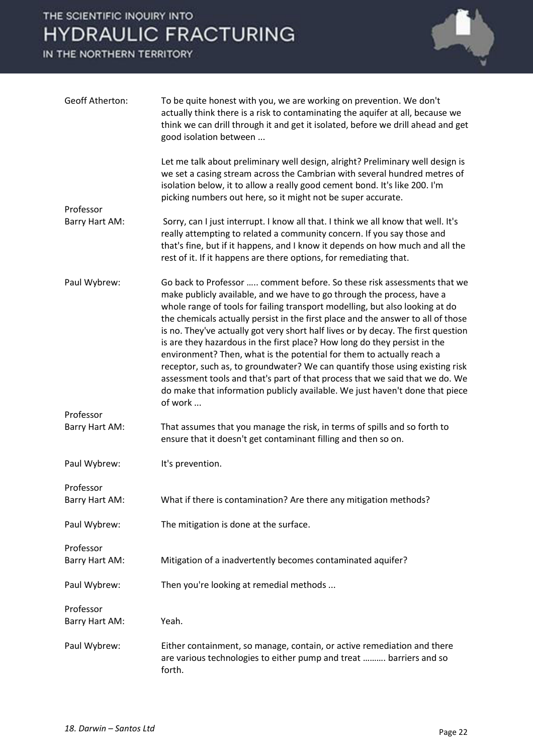

| <b>Geoff Atherton:</b>      | To be quite honest with you, we are working on prevention. We don't<br>actually think there is a risk to contaminating the aquifer at all, because we<br>think we can drill through it and get it isolated, before we drill ahead and get<br>good isolation between                                                                                                                                                                                                                                                                                                                                                                                                                                                                                                                                                         |
|-----------------------------|-----------------------------------------------------------------------------------------------------------------------------------------------------------------------------------------------------------------------------------------------------------------------------------------------------------------------------------------------------------------------------------------------------------------------------------------------------------------------------------------------------------------------------------------------------------------------------------------------------------------------------------------------------------------------------------------------------------------------------------------------------------------------------------------------------------------------------|
|                             | Let me talk about preliminary well design, alright? Preliminary well design is<br>we set a casing stream across the Cambrian with several hundred metres of<br>isolation below, it to allow a really good cement bond. It's like 200. I'm<br>picking numbers out here, so it might not be super accurate.                                                                                                                                                                                                                                                                                                                                                                                                                                                                                                                   |
| Professor                   |                                                                                                                                                                                                                                                                                                                                                                                                                                                                                                                                                                                                                                                                                                                                                                                                                             |
| Barry Hart AM:              | Sorry, can I just interrupt. I know all that. I think we all know that well. It's<br>really attempting to related a community concern. If you say those and<br>that's fine, but if it happens, and I know it depends on how much and all the<br>rest of it. If it happens are there options, for remediating that.                                                                                                                                                                                                                                                                                                                                                                                                                                                                                                          |
| Paul Wybrew:                | Go back to Professor  comment before. So these risk assessments that we<br>make publicly available, and we have to go through the process, have a<br>whole range of tools for failing transport modelling, but also looking at do<br>the chemicals actually persist in the first place and the answer to all of those<br>is no. They've actually got very short half lives or by decay. The first question<br>is are they hazardous in the first place? How long do they persist in the<br>environment? Then, what is the potential for them to actually reach a<br>receptor, such as, to groundwater? We can quantify those using existing risk<br>assessment tools and that's part of that process that we said that we do. We<br>do make that information publicly available. We just haven't done that piece<br>of work |
| Professor                   |                                                                                                                                                                                                                                                                                                                                                                                                                                                                                                                                                                                                                                                                                                                                                                                                                             |
| Barry Hart AM:              | That assumes that you manage the risk, in terms of spills and so forth to<br>ensure that it doesn't get contaminant filling and then so on.                                                                                                                                                                                                                                                                                                                                                                                                                                                                                                                                                                                                                                                                                 |
| Paul Wybrew:                | It's prevention.                                                                                                                                                                                                                                                                                                                                                                                                                                                                                                                                                                                                                                                                                                                                                                                                            |
| Professor<br>Barry Hart AM: | What if there is contamination? Are there any mitigation methods?                                                                                                                                                                                                                                                                                                                                                                                                                                                                                                                                                                                                                                                                                                                                                           |
| Paul Wybrew:                | The mitigation is done at the surface.                                                                                                                                                                                                                                                                                                                                                                                                                                                                                                                                                                                                                                                                                                                                                                                      |
| Professor<br>Barry Hart AM: | Mitigation of a inadvertently becomes contaminated aquifer?                                                                                                                                                                                                                                                                                                                                                                                                                                                                                                                                                                                                                                                                                                                                                                 |
|                             |                                                                                                                                                                                                                                                                                                                                                                                                                                                                                                                                                                                                                                                                                                                                                                                                                             |
| Paul Wybrew:                | Then you're looking at remedial methods                                                                                                                                                                                                                                                                                                                                                                                                                                                                                                                                                                                                                                                                                                                                                                                     |
| Professor<br>Barry Hart AM: | Yeah.                                                                                                                                                                                                                                                                                                                                                                                                                                                                                                                                                                                                                                                                                                                                                                                                                       |
| Paul Wybrew:                | Either containment, so manage, contain, or active remediation and there<br>are various technologies to either pump and treat  barriers and so<br>forth.                                                                                                                                                                                                                                                                                                                                                                                                                                                                                                                                                                                                                                                                     |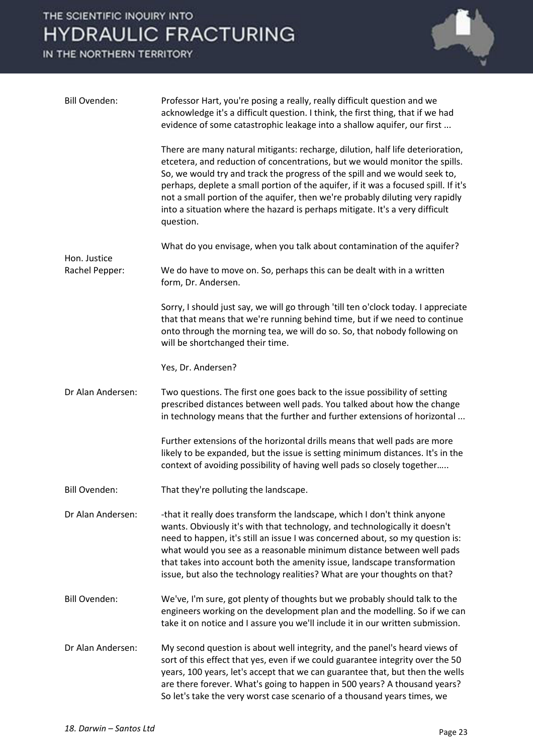

| <b>Bill Ovenden:</b> | Professor Hart, you're posing a really, really difficult question and we<br>acknowledge it's a difficult question. I think, the first thing, that if we had<br>evidence of some catastrophic leakage into a shallow aquifer, our first                                                                                                                                                                                                                                                                           |
|----------------------|------------------------------------------------------------------------------------------------------------------------------------------------------------------------------------------------------------------------------------------------------------------------------------------------------------------------------------------------------------------------------------------------------------------------------------------------------------------------------------------------------------------|
|                      | There are many natural mitigants: recharge, dilution, half life deterioration,<br>etcetera, and reduction of concentrations, but we would monitor the spills.<br>So, we would try and track the progress of the spill and we would seek to,<br>perhaps, deplete a small portion of the aquifer, if it was a focused spill. If it's<br>not a small portion of the aquifer, then we're probably diluting very rapidly<br>into a situation where the hazard is perhaps mitigate. It's a very difficult<br>question. |
| Hon. Justice         | What do you envisage, when you talk about contamination of the aquifer?                                                                                                                                                                                                                                                                                                                                                                                                                                          |
| Rachel Pepper:       | We do have to move on. So, perhaps this can be dealt with in a written<br>form, Dr. Andersen.                                                                                                                                                                                                                                                                                                                                                                                                                    |
|                      | Sorry, I should just say, we will go through 'till ten o'clock today. I appreciate<br>that that means that we're running behind time, but if we need to continue<br>onto through the morning tea, we will do so. So, that nobody following on<br>will be shortchanged their time.                                                                                                                                                                                                                                |
|                      | Yes, Dr. Andersen?                                                                                                                                                                                                                                                                                                                                                                                                                                                                                               |
| Dr Alan Andersen:    | Two questions. The first one goes back to the issue possibility of setting<br>prescribed distances between well pads. You talked about how the change<br>in technology means that the further and further extensions of horizontal                                                                                                                                                                                                                                                                               |
|                      | Further extensions of the horizontal drills means that well pads are more<br>likely to be expanded, but the issue is setting minimum distances. It's in the<br>context of avoiding possibility of having well pads so closely together                                                                                                                                                                                                                                                                           |
| <b>Bill Ovenden:</b> | That they're polluting the landscape.                                                                                                                                                                                                                                                                                                                                                                                                                                                                            |
| Dr Alan Andersen:    | -that it really does transform the landscape, which I don't think anyone<br>wants. Obviously it's with that technology, and technologically it doesn't<br>need to happen, it's still an issue I was concerned about, so my question is:<br>what would you see as a reasonable minimum distance between well pads<br>that takes into account both the amenity issue, landscape transformation<br>issue, but also the technology realities? What are your thoughts on that?                                        |
| <b>Bill Ovenden:</b> | We've, I'm sure, got plenty of thoughts but we probably should talk to the<br>engineers working on the development plan and the modelling. So if we can<br>take it on notice and I assure you we'll include it in our written submission.                                                                                                                                                                                                                                                                        |
| Dr Alan Andersen:    | My second question is about well integrity, and the panel's heard views of<br>sort of this effect that yes, even if we could guarantee integrity over the 50<br>years, 100 years, let's accept that we can guarantee that, but then the wells<br>are there forever. What's going to happen in 500 years? A thousand years?<br>So let's take the very worst case scenario of a thousand years times, we                                                                                                           |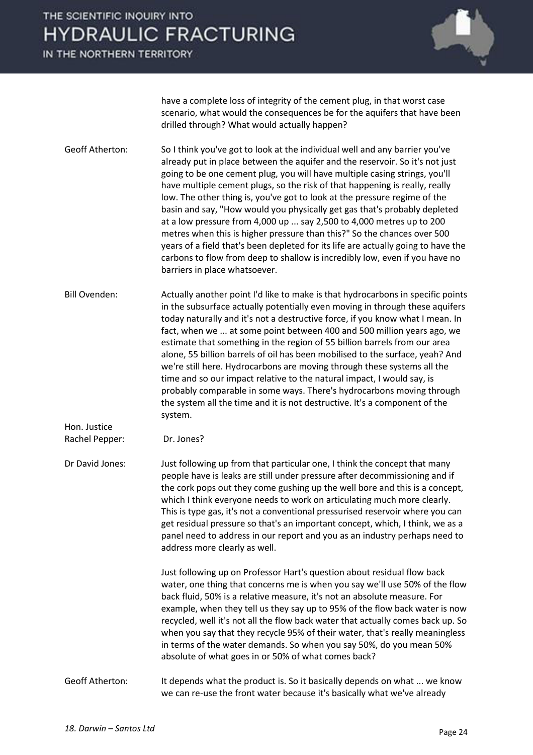IN THE NORTHERN TERRITORY



have a complete loss of integrity of the cement plug, in that worst case scenario, what would the consequences be for the aquifers that have been drilled through? What would actually happen?

Geoff Atherton: So I think you've got to look at the individual well and any barrier you've already put in place between the aquifer and the reservoir. So it's not just going to be one cement plug, you will have multiple casing strings, you'll have multiple cement plugs, so the risk of that happening is really, really low. The other thing is, you've got to look at the pressure regime of the basin and say, "How would you physically get gas that's probably depleted at a low pressure from 4,000 up ... say 2,500 to 4,000 metres up to 200 metres when this is higher pressure than this?" So the chances over 500 years of a field that's been depleted for its life are actually going to have the carbons to flow from deep to shallow is incredibly low, even if you have no barriers in place whatsoever.

Bill Ovenden: Actually another point I'd like to make is that hydrocarbons in specific points in the subsurface actually potentially even moving in through these aquifers today naturally and it's not a destructive force, if you know what I mean. In fact, when we ... at some point between 400 and 500 million years ago, we estimate that something in the region of 55 billion barrels from our area alone, 55 billion barrels of oil has been mobilised to the surface, yeah? And we're still here. Hydrocarbons are moving through these systems all the time and so our impact relative to the natural impact, I would say, is probably comparable in some ways. There's hydrocarbons moving through the system all the time and it is not destructive. It's a component of the system.

Hon. Justice Rachel Pepper: Dr. Jones?

Dr David Jones: Just following up from that particular one, I think the concept that many people have is leaks are still under pressure after decommissioning and if the cork pops out they come gushing up the well bore and this is a concept, which I think everyone needs to work on articulating much more clearly. This is type gas, it's not a conventional pressurised reservoir where you can get residual pressure so that's an important concept, which, I think, we as a panel need to address in our report and you as an industry perhaps need to address more clearly as well.

> Just following up on Professor Hart's question about residual flow back water, one thing that concerns me is when you say we'll use 50% of the flow back fluid, 50% is a relative measure, it's not an absolute measure. For example, when they tell us they say up to 95% of the flow back water is now recycled, well it's not all the flow back water that actually comes back up. So when you say that they recycle 95% of their water, that's really meaningless in terms of the water demands. So when you say 50%, do you mean 50% absolute of what goes in or 50% of what comes back?

#### Geoff Atherton: It depends what the product is. So it basically depends on what ... we know we can re-use the front water because it's basically what we've already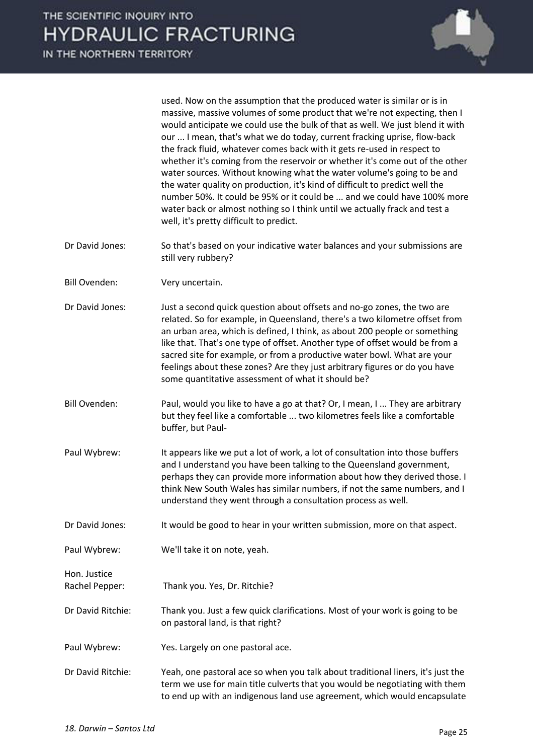

used. Now on the assumption that the produced water is similar or is in massive, massive volumes of some product that we're not expecting, then I would anticipate we could use the bulk of that as well. We just blend it with our ... I mean, that's what we do today, current fracking uprise, flow-back the frack fluid, whatever comes back with it gets re-used in respect to whether it's coming from the reservoir or whether it's come out of the other water sources. Without knowing what the water volume's going to be and the water quality on production, it's kind of difficult to predict well the number 50%. It could be 95% or it could be ... and we could have 100% more water back or almost nothing so I think until we actually frack and test a well, it's pretty difficult to predict.

- Dr David Jones: So that's based on your indicative water balances and your submissions are still very rubbery?
- Bill Ovenden: Very uncertain.
- Dr David Jones: Just a second quick question about offsets and no-go zones, the two are related. So for example, in Queensland, there's a two kilometre offset from an urban area, which is defined, I think, as about 200 people or something like that. That's one type of offset. Another type of offset would be from a sacred site for example, or from a productive water bowl. What are your feelings about these zones? Are they just arbitrary figures or do you have some quantitative assessment of what it should be?
- Bill Ovenden: Paul, would you like to have a go at that? Or, I mean, I ... They are arbitrary but they feel like a comfortable ... two kilometres feels like a comfortable buffer, but Paul-
- Paul Wybrew: It appears like we put a lot of work, a lot of consultation into those buffers and I understand you have been talking to the Queensland government, perhaps they can provide more information about how they derived those. I think New South Wales has similar numbers, if not the same numbers, and I understand they went through a consultation process as well.
- Dr David Jones: It would be good to hear in your written submission, more on that aspect.

Paul Wybrew: We'll take it on note, yeah.

Rachel Pepper: Thank you. Yes, Dr. Ritchie?

- Dr David Ritchie: Thank you. Just a few quick clarifications. Most of your work is going to be on pastoral land, is that right?
- Paul Wybrew: Yes. Largely on one pastoral ace.
- Dr David Ritchie: Yeah, one pastoral ace so when you talk about traditional liners, it's just the term we use for main title culverts that you would be negotiating with them to end up with an indigenous land use agreement, which would encapsulate

Hon. Justice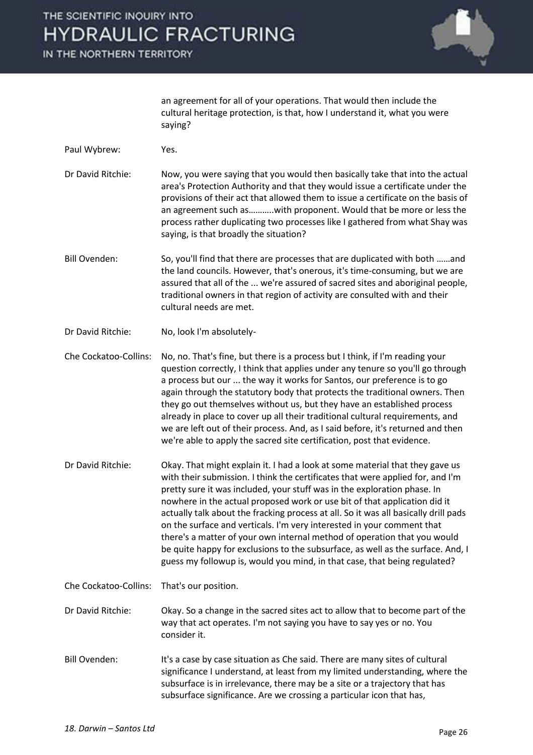IN THE NORTHERN TERRITORY



an agreement for all of your operations. That would then include the cultural heritage protection, is that, how I understand it, what you were saying?

- Paul Wybrew: Yes.
- Dr David Ritchie: Now, you were saying that you would then basically take that into the actual area's Protection Authority and that they would issue a certificate under the provisions of their act that allowed them to issue a certificate on the basis of an agreement such as………..with proponent. Would that be more or less the process rather duplicating two processes like I gathered from what Shay was saying, is that broadly the situation?
- Bill Ovenden: So, you'll find that there are processes that are duplicated with both ……and the land councils. However, that's onerous, it's time-consuming, but we are assured that all of the ... we're assured of sacred sites and aboriginal people, traditional owners in that region of activity are consulted with and their cultural needs are met.
- Dr David Ritchie: No, look I'm absolutely-

Che Cockatoo-Collins: No, no. That's fine, but there is a process but I think, if I'm reading your question correctly, I think that applies under any tenure so you'll go through a process but our ... the way it works for Santos, our preference is to go again through the statutory body that protects the traditional owners. Then they go out themselves without us, but they have an established process already in place to cover up all their traditional cultural requirements, and we are left out of their process. And, as I said before, it's returned and then we're able to apply the sacred site certification, post that evidence.

- Dr David Ritchie: Okay. That might explain it. I had a look at some material that they gave us with their submission. I think the certificates that were applied for, and I'm pretty sure it was included, your stuff was in the exploration phase. In nowhere in the actual proposed work or use bit of that application did it actually talk about the fracking process at all. So it was all basically drill pads on the surface and verticals. I'm very interested in your comment that there's a matter of your own internal method of operation that you would be quite happy for exclusions to the subsurface, as well as the surface. And, I guess my followup is, would you mind, in that case, that being regulated?
- Che Cockatoo-Collins: That's our position.

Dr David Ritchie: Okay. So a change in the sacred sites act to allow that to become part of the way that act operates. I'm not saying you have to say yes or no. You consider it.

Bill Ovenden: It's a case by case situation as Che said. There are many sites of cultural significance I understand, at least from my limited understanding, where the subsurface is in irrelevance, there may be a site or a trajectory that has subsurface significance. Are we crossing a particular icon that has,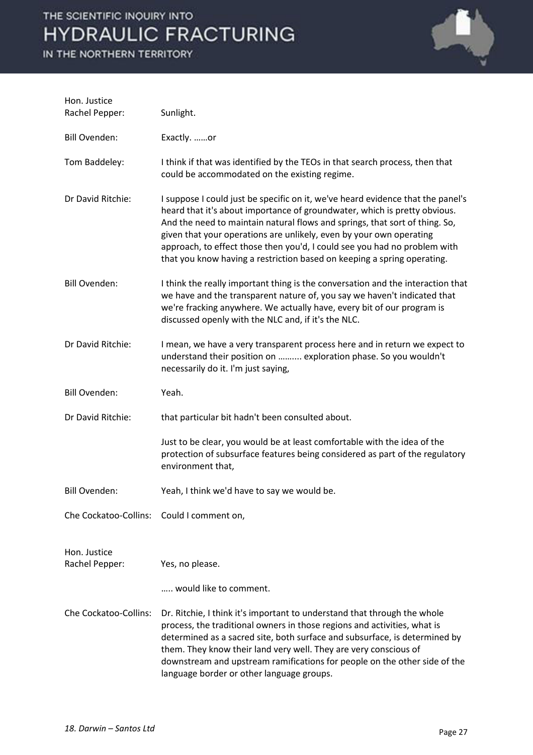

| Hon. Justice<br>Rachel Pepper:            | Sunlight.                                                                                                                                                                                                                                                                                                                                                                                                                                                                  |
|-------------------------------------------|----------------------------------------------------------------------------------------------------------------------------------------------------------------------------------------------------------------------------------------------------------------------------------------------------------------------------------------------------------------------------------------------------------------------------------------------------------------------------|
| <b>Bill Ovenden:</b>                      | Exactly. or                                                                                                                                                                                                                                                                                                                                                                                                                                                                |
| Tom Baddeley:                             | I think if that was identified by the TEOs in that search process, then that<br>could be accommodated on the existing regime.                                                                                                                                                                                                                                                                                                                                              |
| Dr David Ritchie:                         | I suppose I could just be specific on it, we've heard evidence that the panel's<br>heard that it's about importance of groundwater, which is pretty obvious.<br>And the need to maintain natural flows and springs, that sort of thing. So,<br>given that your operations are unlikely, even by your own operating<br>approach, to effect those then you'd, I could see you had no problem with<br>that you know having a restriction based on keeping a spring operating. |
| <b>Bill Ovenden:</b>                      | I think the really important thing is the conversation and the interaction that<br>we have and the transparent nature of, you say we haven't indicated that<br>we're fracking anywhere. We actually have, every bit of our program is<br>discussed openly with the NLC and, if it's the NLC.                                                                                                                                                                               |
| Dr David Ritchie:                         | I mean, we have a very transparent process here and in return we expect to<br>understand their position on  exploration phase. So you wouldn't<br>necessarily do it. I'm just saying,                                                                                                                                                                                                                                                                                      |
| <b>Bill Ovenden:</b>                      | Yeah.                                                                                                                                                                                                                                                                                                                                                                                                                                                                      |
| Dr David Ritchie:                         | that particular bit hadn't been consulted about.                                                                                                                                                                                                                                                                                                                                                                                                                           |
|                                           | Just to be clear, you would be at least comfortable with the idea of the<br>protection of subsurface features being considered as part of the regulatory<br>environment that,                                                                                                                                                                                                                                                                                              |
| <b>Bill Ovenden:</b>                      | Yeah, I think we'd have to say we would be.                                                                                                                                                                                                                                                                                                                                                                                                                                |
| Che Cockatoo-Collins: Could I comment on, |                                                                                                                                                                                                                                                                                                                                                                                                                                                                            |
| Hon. Justice<br>Rachel Pepper:            | Yes, no please.                                                                                                                                                                                                                                                                                                                                                                                                                                                            |
|                                           | would like to comment.                                                                                                                                                                                                                                                                                                                                                                                                                                                     |
| Che Cockatoo-Collins:                     | Dr. Ritchie, I think it's important to understand that through the whole<br>process, the traditional owners in those regions and activities, what is<br>determined as a sacred site, both surface and subsurface, is determined by<br>them. They know their land very well. They are very conscious of<br>downstream and upstream ramifications for people on the other side of the<br>language border or other language groups.                                           |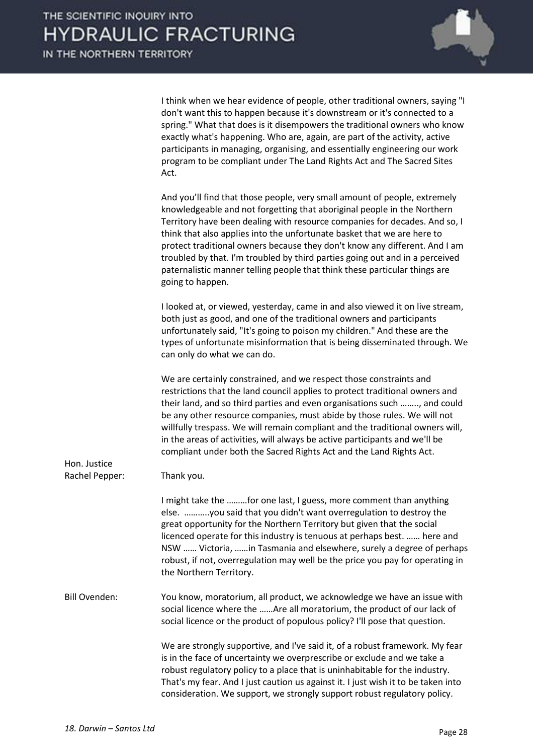

| I think when we hear evidence of people, other traditional owners, saying "I |
|------------------------------------------------------------------------------|
| don't want this to happen because it's downstream or it's connected to a     |
| spring." What that does is it disempowers the traditional owners who know    |
| exactly what's happening. Who are, again, are part of the activity, active   |
| participants in managing, organising, and essentially engineering our work   |
| program to be compliant under The Land Rights Act and The Sacred Sites       |
| Act.                                                                         |
|                                                                              |

And you'll find that those people, very small amount of people, extremely knowledgeable and not forgetting that aboriginal people in the Northern Territory have been dealing with resource companies for decades. And so, I think that also applies into the unfortunate basket that we are here to protect traditional owners because they don't know any different. And I am troubled by that. I'm troubled by third parties going out and in a perceived paternalistic manner telling people that think these particular things are going to happen.

 I looked at, or viewed, yesterday, came in and also viewed it on live stream, both just as good, and one of the traditional owners and participants unfortunately said, "It's going to poison my children." And these are the types of unfortunate misinformation that is being disseminated through. We can only do what we can do.

 We are certainly constrained, and we respect those constraints and restrictions that the land council applies to protect traditional owners and their land, and so third parties and even organisations such …….., and could be any other resource companies, must abide by those rules. We will not willfully trespass. We will remain compliant and the traditional owners will, in the areas of activities, will always be active participants and we'll be compliant under both the Sacred Rights Act and the Land Rights Act.

Hon. Justice Rachel Pepper: Thank you. I might take the ………for one last, I guess, more comment than anything else. ………..you said that you didn't want overregulation to destroy the great opportunity for the Northern Territory but given that the social licenced operate for this industry is tenuous at perhaps best. ...... here and NSW …… Victoria, ……in Tasmania and elsewhere, surely a degree of perhaps robust, if not, overregulation may well be the price you pay for operating in the Northern Territory. Bill Ovenden: You know, moratorium, all product, we acknowledge we have an issue with social licence where the ……Are all moratorium, the product of our lack of social licence or the product of populous policy? I'll pose that question. We are strongly supportive, and I've said it, of a robust framework. My fear is in the face of uncertainty we overprescribe or exclude and we take a robust regulatory policy to a place that is uninhabitable for the industry. That's my fear. And I just caution us against it. I just wish it to be taken into consideration. We support, we strongly support robust regulatory policy.